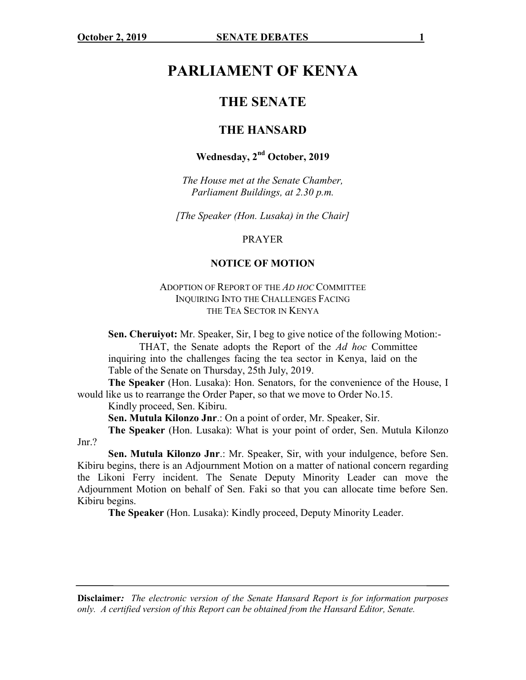# **PARLIAMENT OF KENYA**

# **THE SENATE**

## **THE HANSARD**

# **Wednesday, 2nd October, 2019**

*The House met at the Senate Chamber, Parliament Buildings, at 2.30 p.m.*

*[The Speaker (Hon. Lusaka) in the Chair]*

PRAYER

#### **NOTICE OF MOTION**

#### ADOPTION OF REPORT OF THE *AD HOC* COMMITTEE INQUIRING INTO THE CHALLENGES FACING THE TEA SECTOR IN KENYA

**Sen. Cheruiyot:** Mr. Speaker, Sir, I beg to give notice of the following Motion:-

THAT, the Senate adopts the Report of the *Ad hoc* Committee inquiring into the challenges facing the tea sector in Kenya, laid on the Table of the Senate on Thursday, 25th July, 2019.

**The Speaker** (Hon. Lusaka): Hon. Senators, for the convenience of the House, I would like us to rearrange the Order Paper, so that we move to Order No.15.

Kindly proceed, Sen. Kibiru.

**Sen. Mutula Kilonzo Jnr**.: On a point of order, Mr. Speaker, Sir.

**The Speaker** (Hon. Lusaka): What is your point of order, Sen. Mutula Kilonzo Jnr.?

**Sen. Mutula Kilonzo Jnr**.: Mr. Speaker, Sir, with your indulgence, before Sen. Kibiru begins, there is an Adjournment Motion on a matter of national concern regarding the Likoni Ferry incident. The Senate Deputy Minority Leader can move the Adjournment Motion on behalf of Sen. Faki so that you can allocate time before Sen. Kibiru begins.

**The Speaker** (Hon. Lusaka): Kindly proceed, Deputy Minority Leader.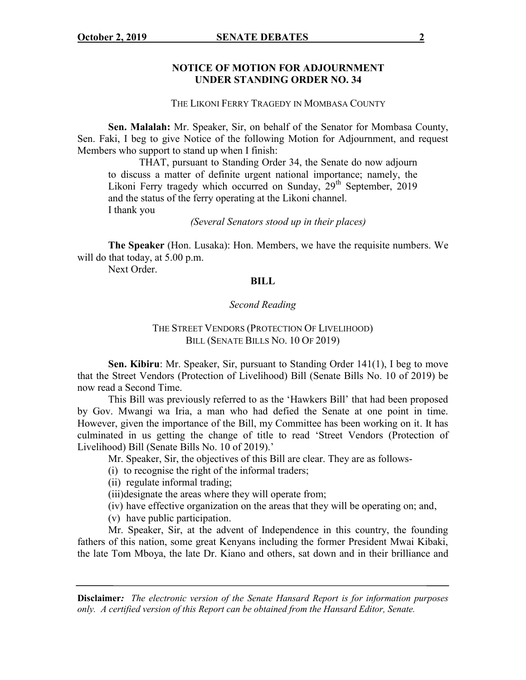#### **NOTICE OF MOTION FOR ADJOURNMENT UNDER STANDING ORDER NO. 34**

THE LIKONI FERRY TRAGEDY IN MOMBASA COUNTY

**Sen. Malalah:** Mr. Speaker, Sir, on behalf of the Senator for Mombasa County, Sen. Faki, I beg to give Notice of the following Motion for Adjournment, and request Members who support to stand up when I finish:

THAT, pursuant to Standing Order 34, the Senate do now adjourn to discuss a matter of definite urgent national importance; namely, the Likoni Ferry tragedy which occurred on Sunday, 29<sup>th</sup> September, 2019 and the status of the ferry operating at the Likoni channel. I thank you

*(Several Senators stood up in their places)*

**The Speaker** (Hon. Lusaka): Hon. Members, we have the requisite numbers. We will do that today, at 5.00 p.m.

Next Order.

#### **BILL**

#### *Second Reading*

## THE STREET VENDORS (PROTECTION OF LIVELIHOOD) BILL (SENATE BILLS NO. 10 OF 2019)

**Sen. Kibiru**: Mr. Speaker, Sir, pursuant to Standing Order 141(1), I beg to move that the Street Vendors (Protection of Livelihood) Bill (Senate Bills No. 10 of 2019) be now read a Second Time.

This Bill was previously referred to as the 'Hawkers Bill' that had been proposed by Gov. Mwangi wa Iria, a man who had defied the Senate at one point in time. However, given the importance of the Bill, my Committee has been working on it. It has culminated in us getting the change of title to read 'Street Vendors (Protection of Livelihood) Bill (Senate Bills No. 10 of 2019).'

Mr. Speaker, Sir, the objectives of this Bill are clear. They are as follows-

(i) to recognise the right of the informal traders;

(ii) regulate informal trading;

- (iii)designate the areas where they will operate from;
- (iv) have effective organization on the areas that they will be operating on; and,
- (v) have public participation.

Mr. Speaker, Sir, at the advent of Independence in this country, the founding fathers of this nation, some great Kenyans including the former President Mwai Kibaki, the late Tom Mboya, the late Dr. Kiano and others, sat down and in their brilliance and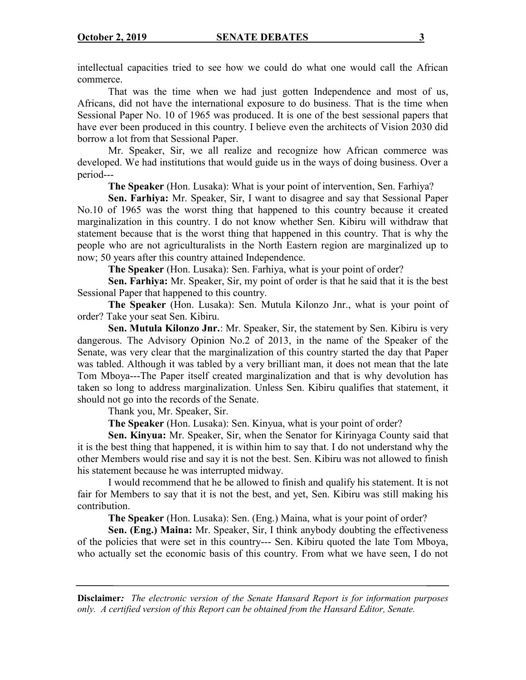intellectual capacities tried to see how we could do what one would call the African commerce.

That was the time when we had just gotten Independence and most of us, Africans, did not have the international exposure to do business. That is the time when Sessional Paper No. 10 of 1965 was produced. It is one of the best sessional papers that have ever been produced in this country. I believe even the architects of Vision 2030 did borrow a lot from that Sessional Paper.

Mr. Speaker, Sir, we all realize and recognize how African commerce was developed. We had institutions that would guide us in the ways of doing business. Over a period---

**The Speaker** (Hon. Lusaka): What is your point of intervention, Sen. Farhiya?

**Sen. Farhiya:** Mr. Speaker, Sir, I want to disagree and say that Sessional Paper No.10 of 1965 was the worst thing that happened to this country because it created marginalization in this country. I do not know whether Sen. Kibiru will withdraw that statement because that is the worst thing that happened in this country. That is why the people who are not agriculturalists in the North Eastern region are marginalized up to now; 50 years after this country attained Independence.

**The Speaker** (Hon. Lusaka): Sen. Farhiya, what is your point of order?

**Sen. Farhiya:** Mr. Speaker, Sir, my point of order is that he said that it is the best Sessional Paper that happened to this country.

**The Speaker** (Hon. Lusaka): Sen. Mutula Kilonzo Jnr., what is your point of order? Take your seat Sen. Kibiru.

**Sen. Mutula Kilonzo Jnr.**: Mr. Speaker, Sir, the statement by Sen. Kibiru is very dangerous. The Advisory Opinion No.2 of 2013, in the name of the Speaker of the Senate, was very clear that the marginalization of this country started the day that Paper was tabled. Although it was tabled by a very brilliant man, it does not mean that the late Tom Mboya---The Paper itself created marginalization and that is why devolution has taken so long to address marginalization. Unless Sen. Kibiru qualifies that statement, it should not go into the records of the Senate.

Thank you, Mr. Speaker, Sir.

**The Speaker** (Hon. Lusaka): Sen. Kinyua, what is your point of order?

**Sen. Kinyua:** Mr. Speaker, Sir, when the Senator for Kirinyaga County said that it is the best thing that happened, it is within him to say that. I do not understand why the other Members would rise and say it is not the best. Sen. Kibiru was not allowed to finish his statement because he was interrupted midway.

I would recommend that he be allowed to finish and qualify his statement. It is not fair for Members to say that it is not the best, and yet, Sen. Kibiru was still making his contribution.

**The Speaker** (Hon. Lusaka): Sen. (Eng.) Maina, what is your point of order?

**Sen. (Eng.) Maina:** Mr. Speaker, Sir, I think anybody doubting the effectiveness of the policies that were set in this country--- Sen. Kibiru quoted the late Tom Mboya, who actually set the economic basis of this country. From what we have seen, I do not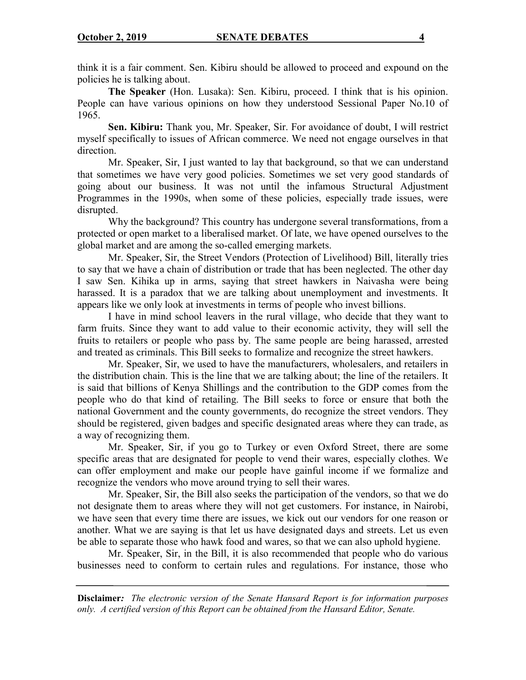think it is a fair comment. Sen. Kibiru should be allowed to proceed and expound on the policies he is talking about.

**The Speaker** (Hon. Lusaka): Sen. Kibiru, proceed. I think that is his opinion. People can have various opinions on how they understood Sessional Paper No.10 of 1965.

**Sen. Kibiru:** Thank you, Mr. Speaker, Sir. For avoidance of doubt, I will restrict myself specifically to issues of African commerce. We need not engage ourselves in that direction.

Mr. Speaker, Sir, I just wanted to lay that background, so that we can understand that sometimes we have very good policies. Sometimes we set very good standards of going about our business. It was not until the infamous Structural Adjustment Programmes in the 1990s, when some of these policies, especially trade issues, were disrupted.

Why the background? This country has undergone several transformations, from a protected or open market to a liberalised market. Of late, we have opened ourselves to the global market and are among the so-called emerging markets.

Mr. Speaker, Sir, the Street Vendors (Protection of Livelihood) Bill, literally tries to say that we have a chain of distribution or trade that has been neglected. The other day I saw Sen. Kihika up in arms, saying that street hawkers in Naivasha were being harassed. It is a paradox that we are talking about unemployment and investments. It appears like we only look at investments in terms of people who invest billions.

I have in mind school leavers in the rural village, who decide that they want to farm fruits. Since they want to add value to their economic activity, they will sell the fruits to retailers or people who pass by. The same people are being harassed, arrested and treated as criminals. This Bill seeks to formalize and recognize the street hawkers.

Mr. Speaker, Sir, we used to have the manufacturers, wholesalers, and retailers in the distribution chain. This is the line that we are talking about; the line of the retailers. It is said that billions of Kenya Shillings and the contribution to the GDP comes from the people who do that kind of retailing. The Bill seeks to force or ensure that both the national Government and the county governments, do recognize the street vendors. They should be registered, given badges and specific designated areas where they can trade, as a way of recognizing them.

Mr. Speaker, Sir, if you go to Turkey or even Oxford Street, there are some specific areas that are designated for people to vend their wares, especially clothes. We can offer employment and make our people have gainful income if we formalize and recognize the vendors who move around trying to sell their wares.

Mr. Speaker, Sir, the Bill also seeks the participation of the vendors, so that we do not designate them to areas where they will not get customers. For instance, in Nairobi, we have seen that every time there are issues, we kick out our vendors for one reason or another. What we are saying is that let us have designated days and streets. Let us even be able to separate those who hawk food and wares, so that we can also uphold hygiene.

Mr. Speaker, Sir, in the Bill, it is also recommended that people who do various businesses need to conform to certain rules and regulations. For instance, those who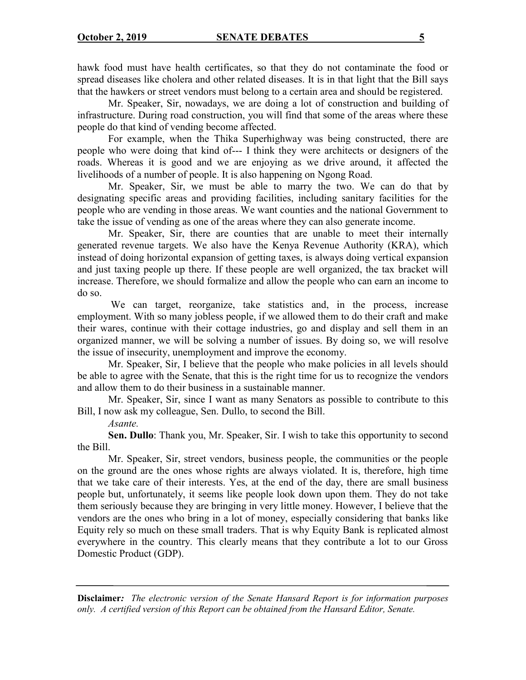hawk food must have health certificates, so that they do not contaminate the food or spread diseases like cholera and other related diseases. It is in that light that the Bill says that the hawkers or street vendors must belong to a certain area and should be registered.

Mr. Speaker, Sir, nowadays, we are doing a lot of construction and building of infrastructure. During road construction, you will find that some of the areas where these people do that kind of vending become affected.

For example, when the Thika Superhighway was being constructed, there are people who were doing that kind of--- I think they were architects or designers of the roads. Whereas it is good and we are enjoying as we drive around, it affected the livelihoods of a number of people. It is also happening on Ngong Road.

Mr. Speaker, Sir, we must be able to marry the two. We can do that by designating specific areas and providing facilities, including sanitary facilities for the people who are vending in those areas. We want counties and the national Government to take the issue of vending as one of the areas where they can also generate income.

Mr. Speaker, Sir, there are counties that are unable to meet their internally generated revenue targets. We also have the Kenya Revenue Authority (KRA), which instead of doing horizontal expansion of getting taxes, is always doing vertical expansion and just taxing people up there. If these people are well organized, the tax bracket will increase. Therefore, we should formalize and allow the people who can earn an income to do so.

We can target, reorganize, take statistics and, in the process, increase employment. With so many jobless people, if we allowed them to do their craft and make their wares, continue with their cottage industries, go and display and sell them in an organized manner, we will be solving a number of issues. By doing so, we will resolve the issue of insecurity, unemployment and improve the economy.

Mr. Speaker, Sir, I believe that the people who make policies in all levels should be able to agree with the Senate, that this is the right time for us to recognize the vendors and allow them to do their business in a sustainable manner.

Mr. Speaker, Sir, since I want as many Senators as possible to contribute to this Bill, I now ask my colleague, Sen. Dullo, to second the Bill.

*Asante.*

**Sen. Dullo**: Thank you, Mr. Speaker, Sir. I wish to take this opportunity to second the Bill.

Mr. Speaker, Sir, street vendors, business people, the communities or the people on the ground are the ones whose rights are always violated. It is, therefore, high time that we take care of their interests. Yes, at the end of the day, there are small business people but, unfortunately, it seems like people look down upon them. They do not take them seriously because they are bringing in very little money. However, I believe that the vendors are the ones who bring in a lot of money, especially considering that banks like Equity rely so much on these small traders. That is why Equity Bank is replicated almost everywhere in the country. This clearly means that they contribute a lot to our Gross Domestic Product (GDP).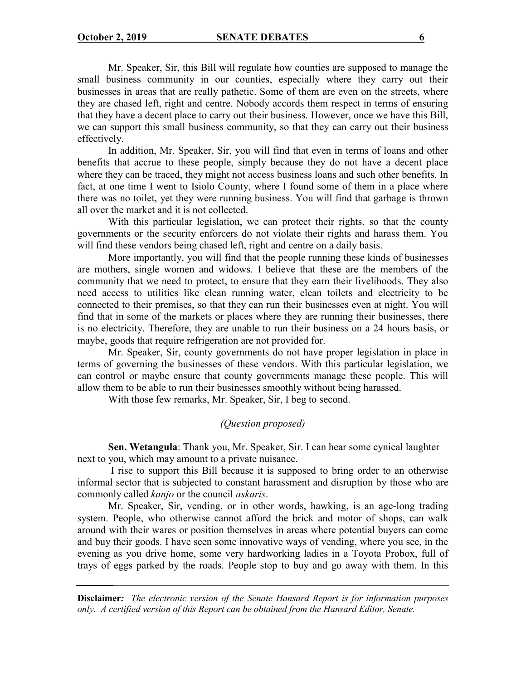Mr. Speaker, Sir, this Bill will regulate how counties are supposed to manage the small business community in our counties, especially where they carry out their businesses in areas that are really pathetic. Some of them are even on the streets, where they are chased left, right and centre. Nobody accords them respect in terms of ensuring that they have a decent place to carry out their business. However, once we have this Bill, we can support this small business community, so that they can carry out their business effectively.

In addition, Mr. Speaker, Sir, you will find that even in terms of loans and other benefits that accrue to these people, simply because they do not have a decent place where they can be traced, they might not access business loans and such other benefits. In fact, at one time I went to Isiolo County, where I found some of them in a place where there was no toilet, yet they were running business. You will find that garbage is thrown all over the market and it is not collected.

With this particular legislation, we can protect their rights, so that the county governments or the security enforcers do not violate their rights and harass them. You will find these vendors being chased left, right and centre on a daily basis.

More importantly, you will find that the people running these kinds of businesses are mothers, single women and widows. I believe that these are the members of the community that we need to protect, to ensure that they earn their livelihoods. They also need access to utilities like clean running water, clean toilets and electricity to be connected to their premises, so that they can run their businesses even at night. You will find that in some of the markets or places where they are running their businesses, there is no electricity. Therefore, they are unable to run their business on a 24 hours basis, or maybe, goods that require refrigeration are not provided for.

Mr. Speaker, Sir, county governments do not have proper legislation in place in terms of governing the businesses of these vendors. With this particular legislation, we can control or maybe ensure that county governments manage these people. This will allow them to be able to run their businesses smoothly without being harassed.

With those few remarks, Mr. Speaker, Sir, I beg to second.

# *(Question proposed)*

**Sen. Wetangula**: Thank you, Mr. Speaker, Sir. I can hear some cynical laughter next to you, which may amount to a private nuisance.

I rise to support this Bill because it is supposed to bring order to an otherwise informal sector that is subjected to constant harassment and disruption by those who are commonly called *kanjo* or the council *askaris*.

Mr. Speaker, Sir, vending, or in other words, hawking, is an age-long trading system. People, who otherwise cannot afford the brick and motor of shops, can walk around with their wares or position themselves in areas where potential buyers can come and buy their goods. I have seen some innovative ways of vending, where you see, in the evening as you drive home, some very hardworking ladies in a Toyota Probox, full of trays of eggs parked by the roads. People stop to buy and go away with them. In this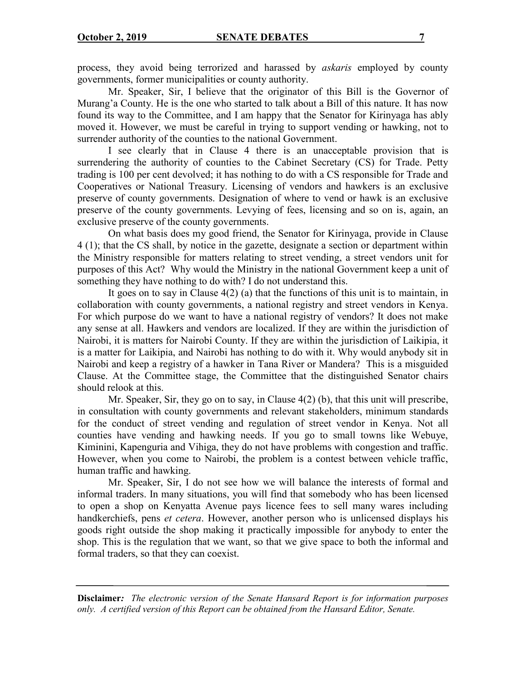process, they avoid being terrorized and harassed by *askaris* employed by county governments, former municipalities or county authority.

Mr. Speaker, Sir, I believe that the originator of this Bill is the Governor of Murang'a County. He is the one who started to talk about a Bill of this nature. It has now found its way to the Committee, and I am happy that the Senator for Kirinyaga has ably moved it. However, we must be careful in trying to support vending or hawking, not to surrender authority of the counties to the national Government.

I see clearly that in Clause 4 there is an unacceptable provision that is surrendering the authority of counties to the Cabinet Secretary (CS) for Trade. Petty trading is 100 per cent devolved; it has nothing to do with a CS responsible for Trade and Cooperatives or National Treasury. Licensing of vendors and hawkers is an exclusive preserve of county governments. Designation of where to vend or hawk is an exclusive preserve of the county governments. Levying of fees, licensing and so on is, again, an exclusive preserve of the county governments.

On what basis does my good friend, the Senator for Kirinyaga, provide in Clause 4 (1); that the CS shall, by notice in the gazette, designate a section or department within the Ministry responsible for matters relating to street vending, a street vendors unit for purposes of this Act? Why would the Ministry in the national Government keep a unit of something they have nothing to do with? I do not understand this.

It goes on to say in Clause 4(2) (a) that the functions of this unit is to maintain, in collaboration with county governments, a national registry and street vendors in Kenya. For which purpose do we want to have a national registry of vendors? It does not make any sense at all. Hawkers and vendors are localized. If they are within the jurisdiction of Nairobi, it is matters for Nairobi County. If they are within the jurisdiction of Laikipia, it is a matter for Laikipia, and Nairobi has nothing to do with it. Why would anybody sit in Nairobi and keep a registry of a hawker in Tana River or Mandera? This is a misguided Clause. At the Committee stage, the Committee that the distinguished Senator chairs should relook at this.

Mr. Speaker, Sir, they go on to say, in Clause 4(2) (b), that this unit will prescribe, in consultation with county governments and relevant stakeholders, minimum standards for the conduct of street vending and regulation of street vendor in Kenya. Not all counties have vending and hawking needs. If you go to small towns like Webuye, Kiminini, Kapenguria and Vihiga, they do not have problems with congestion and traffic. However, when you come to Nairobi, the problem is a contest between vehicle traffic, human traffic and hawking.

Mr. Speaker, Sir, I do not see how we will balance the interests of formal and informal traders. In many situations, you will find that somebody who has been licensed to open a shop on Kenyatta Avenue pays licence fees to sell many wares including handkerchiefs, pens *et cetera*. However, another person who is unlicensed displays his goods right outside the shop making it practically impossible for anybody to enter the shop. This is the regulation that we want, so that we give space to both the informal and formal traders, so that they can coexist.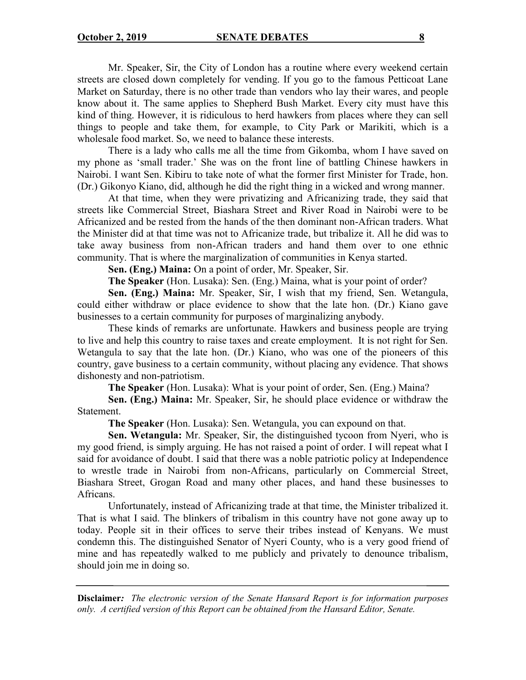Mr. Speaker, Sir, the City of London has a routine where every weekend certain streets are closed down completely for vending. If you go to the famous Petticoat Lane Market on Saturday, there is no other trade than vendors who lay their wares, and people know about it. The same applies to Shepherd Bush Market. Every city must have this kind of thing. However, it is ridiculous to herd hawkers from places where they can sell things to people and take them, for example, to City Park or Marikiti, which is a wholesale food market. So, we need to balance these interests.

There is a lady who calls me all the time from Gikomba, whom I have saved on my phone as 'small trader.' She was on the front line of battling Chinese hawkers in Nairobi. I want Sen. Kibiru to take note of what the former first Minister for Trade, hon. (Dr.) Gikonyo Kiano, did, although he did the right thing in a wicked and wrong manner.

At that time, when they were privatizing and Africanizing trade, they said that streets like Commercial Street, Biashara Street and River Road in Nairobi were to be Africanized and be rested from the hands of the then dominant non-African traders. What the Minister did at that time was not to Africanize trade, but tribalize it. All he did was to take away business from non-African traders and hand them over to one ethnic community. That is where the marginalization of communities in Kenya started.

**Sen. (Eng.) Maina:** On a point of order, Mr. Speaker, Sir.

**The Speaker** (Hon. Lusaka): Sen. (Eng.) Maina, what is your point of order?

**Sen. (Eng.) Maina:** Mr. Speaker, Sir, I wish that my friend, Sen. Wetangula, could either withdraw or place evidence to show that the late hon. (Dr.) Kiano gave businesses to a certain community for purposes of marginalizing anybody.

These kinds of remarks are unfortunate. Hawkers and business people are trying to live and help this country to raise taxes and create employment. It is not right for Sen. Wetangula to say that the late hon. (Dr.) Kiano, who was one of the pioneers of this country, gave business to a certain community, without placing any evidence. That shows dishonesty and non-patriotism.

**The Speaker** (Hon. Lusaka): What is your point of order, Sen. (Eng.) Maina?

**Sen. (Eng.) Maina:** Mr. Speaker, Sir, he should place evidence or withdraw the Statement.

**The Speaker** (Hon. Lusaka): Sen. Wetangula, you can expound on that.

**Sen. Wetangula:** Mr. Speaker, Sir, the distinguished tycoon from Nyeri, who is my good friend, is simply arguing. He has not raised a point of order. I will repeat what I said for avoidance of doubt. I said that there was a noble patriotic policy at Independence to wrestle trade in Nairobi from non-Africans, particularly on Commercial Street, Biashara Street, Grogan Road and many other places, and hand these businesses to Africans.

Unfortunately, instead of Africanizing trade at that time, the Minister tribalized it. That is what I said. The blinkers of tribalism in this country have not gone away up to today. People sit in their offices to serve their tribes instead of Kenyans. We must condemn this. The distinguished Senator of Nyeri County, who is a very good friend of mine and has repeatedly walked to me publicly and privately to denounce tribalism, should join me in doing so.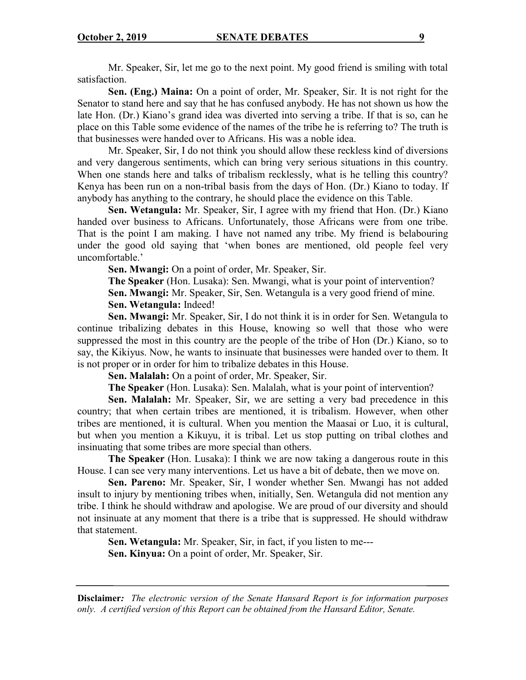Mr. Speaker, Sir, let me go to the next point. My good friend is smiling with total satisfaction.

**Sen. (Eng.) Maina:** On a point of order, Mr. Speaker, Sir. It is not right for the Senator to stand here and say that he has confused anybody. He has not shown us how the late Hon. (Dr.) Kiano's grand idea was diverted into serving a tribe. If that is so, can he place on this Table some evidence of the names of the tribe he is referring to? The truth is that businesses were handed over to Africans. His was a noble idea.

Mr. Speaker, Sir, I do not think you should allow these reckless kind of diversions and very dangerous sentiments, which can bring very serious situations in this country. When one stands here and talks of tribalism recklessly, what is he telling this country? Kenya has been run on a non-tribal basis from the days of Hon. (Dr.) Kiano to today. If anybody has anything to the contrary, he should place the evidence on this Table.

**Sen. Wetangula:** Mr. Speaker, Sir, I agree with my friend that Hon. (Dr.) Kiano handed over business to Africans. Unfortunately, those Africans were from one tribe. That is the point I am making. I have not named any tribe. My friend is belabouring under the good old saying that 'when bones are mentioned, old people feel very uncomfortable.'

**Sen. Mwangi:** On a point of order, Mr. Speaker, Sir.

**The Speaker** (Hon. Lusaka): Sen. Mwangi, what is your point of intervention? **Sen. Mwangi:** Mr. Speaker, Sir, Sen. Wetangula is a very good friend of mine. **Sen. Wetangula:** Indeed!

**Sen. Mwangi:** Mr. Speaker, Sir, I do not think it is in order for Sen. Wetangula to continue tribalizing debates in this House, knowing so well that those who were suppressed the most in this country are the people of the tribe of Hon (Dr.) Kiano, so to say, the Kikiyus. Now, he wants to insinuate that businesses were handed over to them. It is not proper or in order for him to tribalize debates in this House.

**Sen. Malalah:** On a point of order, Mr. Speaker, Sir.

**The Speaker** (Hon. Lusaka): Sen. Malalah, what is your point of intervention?

**Sen. Malalah:** Mr. Speaker, Sir, we are setting a very bad precedence in this country; that when certain tribes are mentioned, it is tribalism. However, when other tribes are mentioned, it is cultural. When you mention the Maasai or Luo, it is cultural, but when you mention a Kikuyu, it is tribal. Let us stop putting on tribal clothes and insinuating that some tribes are more special than others.

**The Speaker** (Hon. Lusaka): I think we are now taking a dangerous route in this House. I can see very many interventions. Let us have a bit of debate, then we move on.

**Sen. Pareno:** Mr. Speaker, Sir, I wonder whether Sen. Mwangi has not added insult to injury by mentioning tribes when, initially, Sen. Wetangula did not mention any tribe. I think he should withdraw and apologise. We are proud of our diversity and should not insinuate at any moment that there is a tribe that is suppressed. He should withdraw that statement.

**Sen. Wetangula:** Mr. Speaker, Sir, in fact, if you listen to me--- **Sen. Kinyua:** On a point of order, Mr. Speaker, Sir.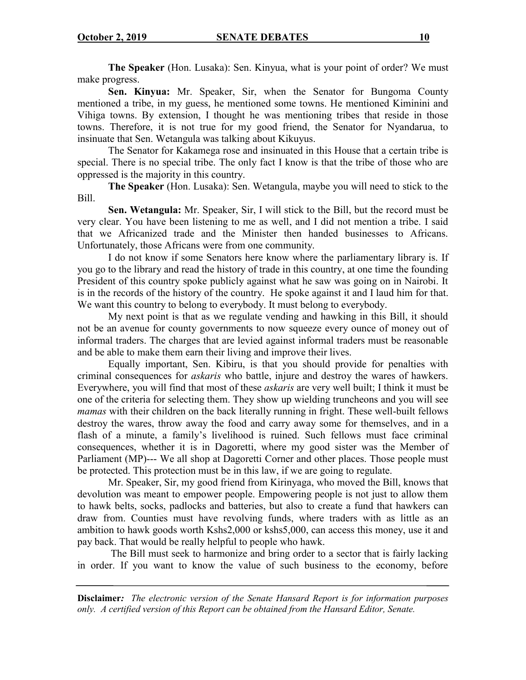**The Speaker** (Hon. Lusaka): Sen. Kinyua, what is your point of order? We must make progress.

**Sen. Kinyua:** Mr. Speaker, Sir, when the Senator for Bungoma County mentioned a tribe, in my guess, he mentioned some towns. He mentioned Kiminini and Vihiga towns. By extension, I thought he was mentioning tribes that reside in those towns. Therefore, it is not true for my good friend, the Senator for Nyandarua, to insinuate that Sen. Wetangula was talking about Kikuyus.

The Senator for Kakamega rose and insinuated in this House that a certain tribe is special. There is no special tribe. The only fact I know is that the tribe of those who are oppressed is the majority in this country.

**The Speaker** (Hon. Lusaka): Sen. Wetangula, maybe you will need to stick to the Bill.

**Sen. Wetangula:** Mr. Speaker, Sir, I will stick to the Bill, but the record must be very clear. You have been listening to me as well, and I did not mention a tribe. I said that we Africanized trade and the Minister then handed businesses to Africans. Unfortunately, those Africans were from one community.

I do not know if some Senators here know where the parliamentary library is. If you go to the library and read the history of trade in this country, at one time the founding President of this country spoke publicly against what he saw was going on in Nairobi. It is in the records of the history of the country. He spoke against it and I laud him for that. We want this country to belong to everybody. It must belong to everybody.

My next point is that as we regulate vending and hawking in this Bill, it should not be an avenue for county governments to now squeeze every ounce of money out of informal traders. The charges that are levied against informal traders must be reasonable and be able to make them earn their living and improve their lives.

Equally important, Sen. Kibiru, is that you should provide for penalties with criminal consequences for *askaris* who battle, injure and destroy the wares of hawkers. Everywhere, you will find that most of these *askaris* are very well built; I think it must be one of the criteria for selecting them. They show up wielding truncheons and you will see *mamas* with their children on the back literally running in fright. These well-built fellows destroy the wares, throw away the food and carry away some for themselves, and in a flash of a minute, a family's livelihood is ruined. Such fellows must face criminal consequences, whether it is in Dagoretti, where my good sister was the Member of Parliament (MP)--- We all shop at Dagoretti Corner and other places. Those people must be protected. This protection must be in this law, if we are going to regulate.

Mr. Speaker, Sir, my good friend from Kirinyaga, who moved the Bill, knows that devolution was meant to empower people. Empowering people is not just to allow them to hawk belts, socks, padlocks and batteries, but also to create a fund that hawkers can draw from. Counties must have revolving funds, where traders with as little as an ambition to hawk goods worth Kshs2,000 or kshs5,000, can access this money, use it and pay back. That would be really helpful to people who hawk.

The Bill must seek to harmonize and bring order to a sector that is fairly lacking in order. If you want to know the value of such business to the economy, before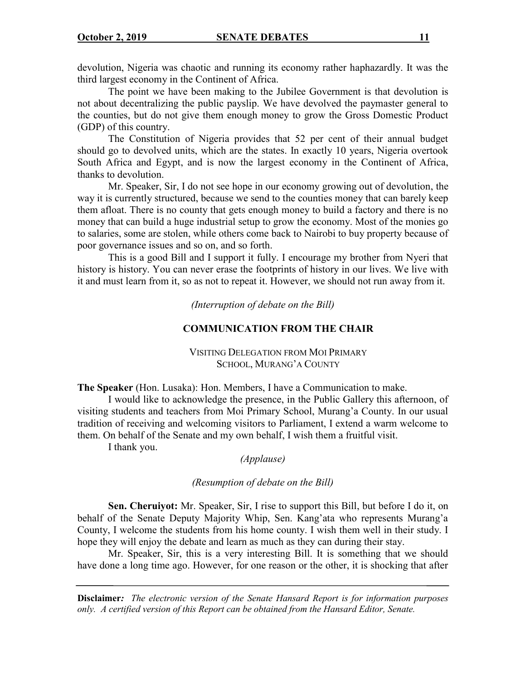devolution, Nigeria was chaotic and running its economy rather haphazardly. It was the third largest economy in the Continent of Africa.

The point we have been making to the Jubilee Government is that devolution is not about decentralizing the public payslip. We have devolved the paymaster general to the counties, but do not give them enough money to grow the Gross Domestic Product (GDP) of this country.

The Constitution of Nigeria provides that 52 per cent of their annual budget should go to devolved units, which are the states. In exactly 10 years, Nigeria overtook South Africa and Egypt, and is now the largest economy in the Continent of Africa, thanks to devolution.

Mr. Speaker, Sir, I do not see hope in our economy growing out of devolution, the way it is currently structured, because we send to the counties money that can barely keep them afloat. There is no county that gets enough money to build a factory and there is no money that can build a huge industrial setup to grow the economy. Most of the monies go to salaries, some are stolen, while others come back to Nairobi to buy property because of poor governance issues and so on, and so forth.

This is a good Bill and I support it fully. I encourage my brother from Nyeri that history is history. You can never erase the footprints of history in our lives. We live with it and must learn from it, so as not to repeat it. However, we should not run away from it.

*(Interruption of debate on the Bill)*

## **COMMUNICATION FROM THE CHAIR**

## VISITING DELEGATION FROM MOI PRIMARY SCHOOL, MURANG'A COUNTY

**The Speaker** (Hon. Lusaka): Hon. Members, I have a Communication to make.

I would like to acknowledge the presence, in the Public Gallery this afternoon, of visiting students and teachers from Moi Primary School, Murang'a County. In our usual tradition of receiving and welcoming visitors to Parliament, I extend a warm welcome to them. On behalf of the Senate and my own behalf, I wish them a fruitful visit.

I thank you.

*(Applause)*

## *(Resumption of debate on the Bill)*

**Sen. Cheruiyot:** Mr. Speaker, Sir, I rise to support this Bill, but before I do it, on behalf of the Senate Deputy Majority Whip, Sen. Kang'ata who represents Murang'a County, I welcome the students from his home county. I wish them well in their study. I hope they will enjoy the debate and learn as much as they can during their stay.

Mr. Speaker, Sir, this is a very interesting Bill. It is something that we should have done a long time ago. However, for one reason or the other, it is shocking that after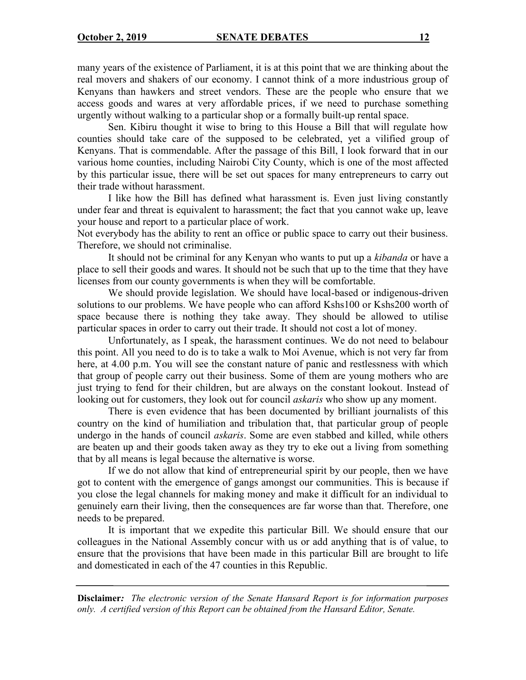many years of the existence of Parliament, it is at this point that we are thinking about the real movers and shakers of our economy. I cannot think of a more industrious group of Kenyans than hawkers and street vendors. These are the people who ensure that we access goods and wares at very affordable prices, if we need to purchase something urgently without walking to a particular shop or a formally built-up rental space.

Sen. Kibiru thought it wise to bring to this House a Bill that will regulate how counties should take care of the supposed to be celebrated, yet a vilified group of Kenyans. That is commendable. After the passage of this Bill, I look forward that in our various home counties, including Nairobi City County, which is one of the most affected by this particular issue, there will be set out spaces for many entrepreneurs to carry out their trade without harassment.

I like how the Bill has defined what harassment is. Even just living constantly under fear and threat is equivalent to harassment; the fact that you cannot wake up, leave your house and report to a particular place of work.

Not everybody has the ability to rent an office or public space to carry out their business. Therefore, we should not criminalise.

It should not be criminal for any Kenyan who wants to put up a *kibanda* or have a place to sell their goods and wares. It should not be such that up to the time that they have licenses from our county governments is when they will be comfortable.

We should provide legislation. We should have local-based or indigenous-driven solutions to our problems. We have people who can afford Kshs100 or Kshs200 worth of space because there is nothing they take away. They should be allowed to utilise particular spaces in order to carry out their trade. It should not cost a lot of money.

Unfortunately, as I speak, the harassment continues. We do not need to belabour this point. All you need to do is to take a walk to Moi Avenue, which is not very far from here, at 4.00 p.m. You will see the constant nature of panic and restlessness with which that group of people carry out their business. Some of them are young mothers who are just trying to fend for their children, but are always on the constant lookout. Instead of looking out for customers, they look out for council *askaris* who show up any moment.

There is even evidence that has been documented by brilliant journalists of this country on the kind of humiliation and tribulation that, that particular group of people undergo in the hands of council *askaris*. Some are even stabbed and killed, while others are beaten up and their goods taken away as they try to eke out a living from something that by all means is legal because the alternative is worse.

If we do not allow that kind of entrepreneurial spirit by our people, then we have got to content with the emergence of gangs amongst our communities. This is because if you close the legal channels for making money and make it difficult for an individual to genuinely earn their living, then the consequences are far worse than that. Therefore, one needs to be prepared.

It is important that we expedite this particular Bill. We should ensure that our colleagues in the National Assembly concur with us or add anything that is of value, to ensure that the provisions that have been made in this particular Bill are brought to life and domesticated in each of the 47 counties in this Republic.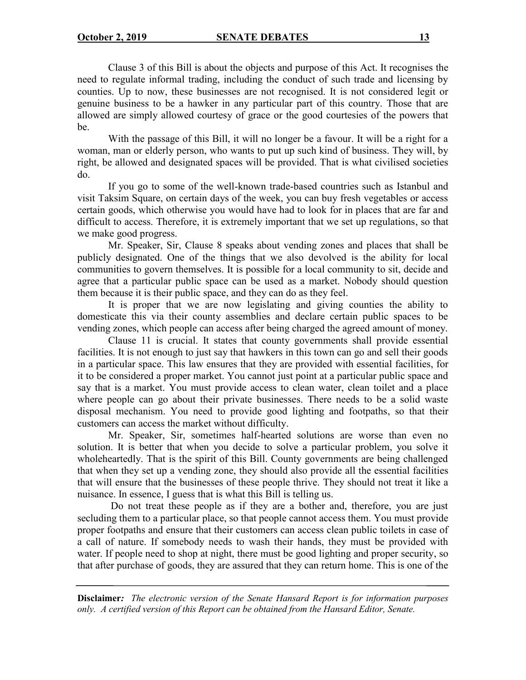Clause 3 of this Bill is about the objects and purpose of this Act. It recognises the need to regulate informal trading, including the conduct of such trade and licensing by counties. Up to now, these businesses are not recognised. It is not considered legit or genuine business to be a hawker in any particular part of this country. Those that are allowed are simply allowed courtesy of grace or the good courtesies of the powers that be.

With the passage of this Bill, it will no longer be a favour. It will be a right for a woman, man or elderly person, who wants to put up such kind of business. They will, by right, be allowed and designated spaces will be provided. That is what civilised societies do.

If you go to some of the well-known trade-based countries such as Istanbul and visit Taksim Square, on certain days of the week, you can buy fresh vegetables or access certain goods, which otherwise you would have had to look for in places that are far and difficult to access. Therefore, it is extremely important that we set up regulations, so that we make good progress.

Mr. Speaker, Sir, Clause 8 speaks about vending zones and places that shall be publicly designated. One of the things that we also devolved is the ability for local communities to govern themselves. It is possible for a local community to sit, decide and agree that a particular public space can be used as a market. Nobody should question them because it is their public space, and they can do as they feel.

It is proper that we are now legislating and giving counties the ability to domesticate this via their county assemblies and declare certain public spaces to be vending zones, which people can access after being charged the agreed amount of money.

Clause 11 is crucial. It states that county governments shall provide essential facilities. It is not enough to just say that hawkers in this town can go and sell their goods in a particular space. This law ensures that they are provided with essential facilities, for it to be considered a proper market. You cannot just point at a particular public space and say that is a market. You must provide access to clean water, clean toilet and a place where people can go about their private businesses. There needs to be a solid waste disposal mechanism. You need to provide good lighting and footpaths, so that their customers can access the market without difficulty.

Mr. Speaker, Sir, sometimes half-hearted solutions are worse than even no solution. It is better that when you decide to solve a particular problem, you solve it wholeheartedly. That is the spirit of this Bill. County governments are being challenged that when they set up a vending zone, they should also provide all the essential facilities that will ensure that the businesses of these people thrive. They should not treat it like a nuisance. In essence, I guess that is what this Bill is telling us.

Do not treat these people as if they are a bother and, therefore, you are just secluding them to a particular place, so that people cannot access them. You must provide proper footpaths and ensure that their customers can access clean public toilets in case of a call of nature. If somebody needs to wash their hands, they must be provided with water. If people need to shop at night, there must be good lighting and proper security, so that after purchase of goods, they are assured that they can return home. This is one of the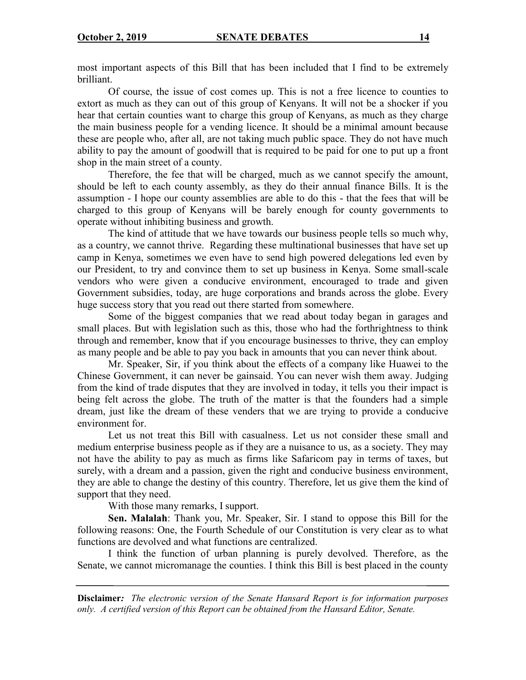most important aspects of this Bill that has been included that I find to be extremely brilliant.

Of course, the issue of cost comes up. This is not a free licence to counties to extort as much as they can out of this group of Kenyans. It will not be a shocker if you hear that certain counties want to charge this group of Kenyans, as much as they charge the main business people for a vending licence. It should be a minimal amount because these are people who, after all, are not taking much public space. They do not have much ability to pay the amount of goodwill that is required to be paid for one to put up a front shop in the main street of a county.

Therefore, the fee that will be charged, much as we cannot specify the amount, should be left to each county assembly, as they do their annual finance Bills. It is the assumption - I hope our county assemblies are able to do this - that the fees that will be charged to this group of Kenyans will be barely enough for county governments to operate without inhibiting business and growth.

The kind of attitude that we have towards our business people tells so much why, as a country, we cannot thrive. Regarding these multinational businesses that have set up camp in Kenya, sometimes we even have to send high powered delegations led even by our President, to try and convince them to set up business in Kenya. Some small-scale vendors who were given a conducive environment, encouraged to trade and given Government subsidies, today, are huge corporations and brands across the globe. Every huge success story that you read out there started from somewhere.

Some of the biggest companies that we read about today began in garages and small places. But with legislation such as this, those who had the forthrightness to think through and remember, know that if you encourage businesses to thrive, they can employ as many people and be able to pay you back in amounts that you can never think about.

Mr. Speaker, Sir, if you think about the effects of a company like Huawei to the Chinese Government, it can never be gainsaid. You can never wish them away. Judging from the kind of trade disputes that they are involved in today, it tells you their impact is being felt across the globe. The truth of the matter is that the founders had a simple dream, just like the dream of these venders that we are trying to provide a conducive environment for.

Let us not treat this Bill with casualness. Let us not consider these small and medium enterprise business people as if they are a nuisance to us, as a society. They may not have the ability to pay as much as firms like Safaricom pay in terms of taxes, but surely, with a dream and a passion, given the right and conducive business environment, they are able to change the destiny of this country. Therefore, let us give them the kind of support that they need.

With those many remarks, I support.

**Sen. Malalah**: Thank you, Mr. Speaker, Sir. I stand to oppose this Bill for the following reasons: One, the Fourth Schedule of our Constitution is very clear as to what functions are devolved and what functions are centralized.

I think the function of urban planning is purely devolved. Therefore, as the Senate, we cannot micromanage the counties. I think this Bill is best placed in the county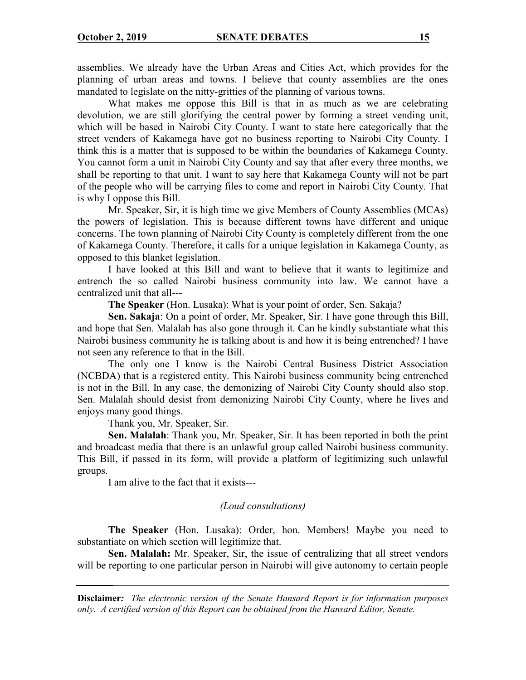assemblies. We already have the Urban Areas and Cities Act, which provides for the planning of urban areas and towns. I believe that county assemblies are the ones mandated to legislate on the nitty-gritties of the planning of various towns.

What makes me oppose this Bill is that in as much as we are celebrating devolution, we are still glorifying the central power by forming a street vending unit, which will be based in Nairobi City County. I want to state here categorically that the street venders of Kakamega have got no business reporting to Nairobi City County. I think this is a matter that is supposed to be within the boundaries of Kakamega County. You cannot form a unit in Nairobi City County and say that after every three months, we shall be reporting to that unit. I want to say here that Kakamega County will not be part of the people who will be carrying files to come and report in Nairobi City County. That is why I oppose this Bill.

Mr. Speaker, Sir, it is high time we give Members of County Assemblies (MCAs) the powers of legislation. This is because different towns have different and unique concerns. The town planning of Nairobi City County is completely different from the one of Kakamega County. Therefore, it calls for a unique legislation in Kakamega County, as opposed to this blanket legislation.

I have looked at this Bill and want to believe that it wants to legitimize and entrench the so called Nairobi business community into law. We cannot have a centralized unit that all---

**The Speaker** (Hon. Lusaka): What is your point of order, Sen. Sakaja?

**Sen. Sakaja**: On a point of order, Mr. Speaker, Sir. I have gone through this Bill, and hope that Sen. Malalah has also gone through it. Can he kindly substantiate what this Nairobi business community he is talking about is and how it is being entrenched? I have not seen any reference to that in the Bill.

The only one I know is the Nairobi Central Business District Association (NCBDA) that is a registered entity. This Nairobi business community being entrenched is not in the Bill. In any case, the demonizing of Nairobi City County should also stop. Sen. Malalah should desist from demonizing Nairobi City County, where he lives and enjoys many good things.

Thank you, Mr. Speaker, Sir.

**Sen. Malalah**: Thank you, Mr. Speaker, Sir. It has been reported in both the print and broadcast media that there is an unlawful group called Nairobi business community. This Bill, if passed in its form, will provide a platform of legitimizing such unlawful groups.

I am alive to the fact that it exists---

#### *(Loud consultations)*

**The Speaker** (Hon. Lusaka): Order, hon. Members! Maybe you need to substantiate on which section will legitimize that.

**Sen. Malalah:** Mr. Speaker, Sir, the issue of centralizing that all street vendors will be reporting to one particular person in Nairobi will give autonomy to certain people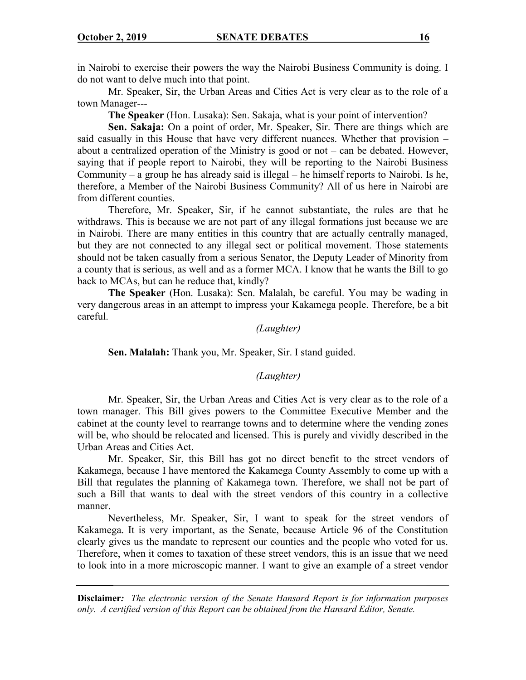in Nairobi to exercise their powers the way the Nairobi Business Community is doing. I do not want to delve much into that point.

Mr. Speaker, Sir, the Urban Areas and Cities Act is very clear as to the role of a town Manager---

**The Speaker** (Hon. Lusaka): Sen. Sakaja, what is your point of intervention?

**Sen. Sakaja:** On a point of order, Mr. Speaker, Sir. There are things which are said casually in this House that have very different nuances. Whether that provision – about a centralized operation of the Ministry is good or not – can be debated. However, saying that if people report to Nairobi, they will be reporting to the Nairobi Business Community – a group he has already said is illegal – he himself reports to Nairobi. Is he, therefore, a Member of the Nairobi Business Community? All of us here in Nairobi are from different counties.

Therefore, Mr. Speaker, Sir, if he cannot substantiate, the rules are that he withdraws. This is because we are not part of any illegal formations just because we are in Nairobi. There are many entities in this country that are actually centrally managed, but they are not connected to any illegal sect or political movement. Those statements should not be taken casually from a serious Senator, the Deputy Leader of Minority from a county that is serious, as well and as a former MCA. I know that he wants the Bill to go back to MCAs, but can he reduce that, kindly?

**The Speaker** (Hon. Lusaka): Sen. Malalah, be careful. You may be wading in very dangerous areas in an attempt to impress your Kakamega people. Therefore, be a bit careful.

#### *(Laughter)*

**Sen. Malalah:** Thank you, Mr. Speaker, Sir. I stand guided.

#### *(Laughter)*

Mr. Speaker, Sir, the Urban Areas and Cities Act is very clear as to the role of a town manager. This Bill gives powers to the Committee Executive Member and the cabinet at the county level to rearrange towns and to determine where the vending zones will be, who should be relocated and licensed. This is purely and vividly described in the Urban Areas and Cities Act.

Mr. Speaker, Sir, this Bill has got no direct benefit to the street vendors of Kakamega, because I have mentored the Kakamega County Assembly to come up with a Bill that regulates the planning of Kakamega town. Therefore, we shall not be part of such a Bill that wants to deal with the street vendors of this country in a collective manner.

Nevertheless, Mr. Speaker, Sir, I want to speak for the street vendors of Kakamega. It is very important, as the Senate, because Article 96 of the Constitution clearly gives us the mandate to represent our counties and the people who voted for us. Therefore, when it comes to taxation of these street vendors, this is an issue that we need to look into in a more microscopic manner. I want to give an example of a street vendor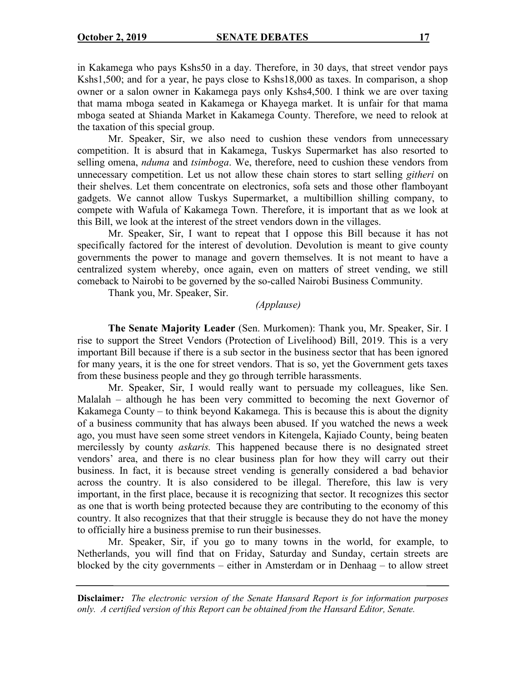in Kakamega who pays Kshs50 in a day. Therefore, in 30 days, that street vendor pays Kshs1,500; and for a year, he pays close to Kshs18,000 as taxes. In comparison, a shop owner or a salon owner in Kakamega pays only Kshs4,500. I think we are over taxing that mama mboga seated in Kakamega or Khayega market. It is unfair for that mama mboga seated at Shianda Market in Kakamega County. Therefore, we need to relook at the taxation of this special group.

Mr. Speaker, Sir, we also need to cushion these vendors from unnecessary competition. It is absurd that in Kakamega, Tuskys Supermarket has also resorted to selling omena, *nduma* and *tsimboga*. We, therefore, need to cushion these vendors from unnecessary competition. Let us not allow these chain stores to start selling *githeri* on their shelves. Let them concentrate on electronics, sofa sets and those other flamboyant gadgets. We cannot allow Tuskys Supermarket, a multibillion shilling company, to compete with Wafula of Kakamega Town. Therefore, it is important that as we look at this Bill, we look at the interest of the street vendors down in the villages.

Mr. Speaker, Sir, I want to repeat that I oppose this Bill because it has not specifically factored for the interest of devolution. Devolution is meant to give county governments the power to manage and govern themselves. It is not meant to have a centralized system whereby, once again, even on matters of street vending, we still comeback to Nairobi to be governed by the so-called Nairobi Business Community.

Thank you, Mr. Speaker, Sir.

*(Applause)*

**The Senate Majority Leader** (Sen. Murkomen): Thank you, Mr. Speaker, Sir. I rise to support the Street Vendors (Protection of Livelihood) Bill, 2019. This is a very important Bill because if there is a sub sector in the business sector that has been ignored for many years, it is the one for street vendors. That is so, yet the Government gets taxes from these business people and they go through terrible harassments.

Mr. Speaker, Sir, I would really want to persuade my colleagues, like Sen. Malalah – although he has been very committed to becoming the next Governor of Kakamega County – to think beyond Kakamega. This is because this is about the dignity of a business community that has always been abused. If you watched the news a week ago, you must have seen some street vendors in Kitengela, Kajiado County, being beaten mercilessly by county *askaris.* This happened because there is no designated street vendors' area, and there is no clear business plan for how they will carry out their business. In fact, it is because street vending is generally considered a bad behavior across the country. It is also considered to be illegal. Therefore, this law is very important, in the first place, because it is recognizing that sector. It recognizes this sector as one that is worth being protected because they are contributing to the economy of this country. It also recognizes that that their struggle is because they do not have the money to officially hire a business premise to run their businesses.

Mr. Speaker, Sir, if you go to many towns in the world, for example, to Netherlands, you will find that on Friday, Saturday and Sunday, certain streets are blocked by the city governments – either in Amsterdam or in Denhaag – to allow street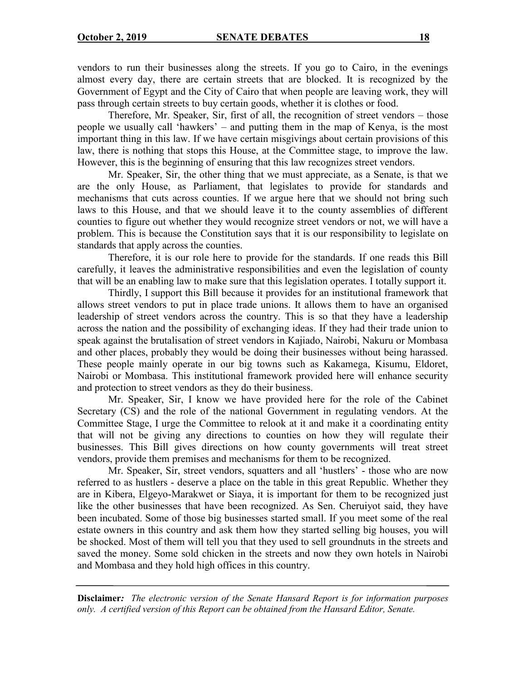vendors to run their businesses along the streets. If you go to Cairo, in the evenings almost every day, there are certain streets that are blocked. It is recognized by the Government of Egypt and the City of Cairo that when people are leaving work, they will pass through certain streets to buy certain goods, whether it is clothes or food.

Therefore, Mr. Speaker, Sir, first of all, the recognition of street vendors – those people we usually call 'hawkers' – and putting them in the map of Kenya, is the most important thing in this law. If we have certain misgivings about certain provisions of this law, there is nothing that stops this House, at the Committee stage, to improve the law. However, this is the beginning of ensuring that this law recognizes street vendors.

Mr. Speaker, Sir, the other thing that we must appreciate, as a Senate, is that we are the only House, as Parliament, that legislates to provide for standards and mechanisms that cuts across counties. If we argue here that we should not bring such laws to this House, and that we should leave it to the county assemblies of different counties to figure out whether they would recognize street vendors or not, we will have a problem. This is because the Constitution says that it is our responsibility to legislate on standards that apply across the counties.

Therefore, it is our role here to provide for the standards. If one reads this Bill carefully, it leaves the administrative responsibilities and even the legislation of county that will be an enabling law to make sure that this legislation operates. I totally support it.

Thirdly, I support this Bill because it provides for an institutional framework that allows street vendors to put in place trade unions. It allows them to have an organised leadership of street vendors across the country. This is so that they have a leadership across the nation and the possibility of exchanging ideas. If they had their trade union to speak against the brutalisation of street vendors in Kajiado, Nairobi, Nakuru or Mombasa and other places, probably they would be doing their businesses without being harassed. These people mainly operate in our big towns such as Kakamega, Kisumu, Eldoret, Nairobi or Mombasa. This institutional framework provided here will enhance security and protection to street vendors as they do their business.

Mr. Speaker, Sir, I know we have provided here for the role of the Cabinet Secretary (CS) and the role of the national Government in regulating vendors. At the Committee Stage, I urge the Committee to relook at it and make it a coordinating entity that will not be giving any directions to counties on how they will regulate their businesses. This Bill gives directions on how county governments will treat street vendors, provide them premises and mechanisms for them to be recognized.

Mr. Speaker, Sir, street vendors, squatters and all 'hustlers' - those who are now referred to as hustlers - deserve a place on the table in this great Republic. Whether they are in Kibera, Elgeyo-Marakwet or Siaya, it is important for them to be recognized just like the other businesses that have been recognized. As Sen. Cheruiyot said, they have been incubated. Some of those big businesses started small. If you meet some of the real estate owners in this country and ask them how they started selling big houses, you will be shocked. Most of them will tell you that they used to sell groundnuts in the streets and saved the money. Some sold chicken in the streets and now they own hotels in Nairobi and Mombasa and they hold high offices in this country.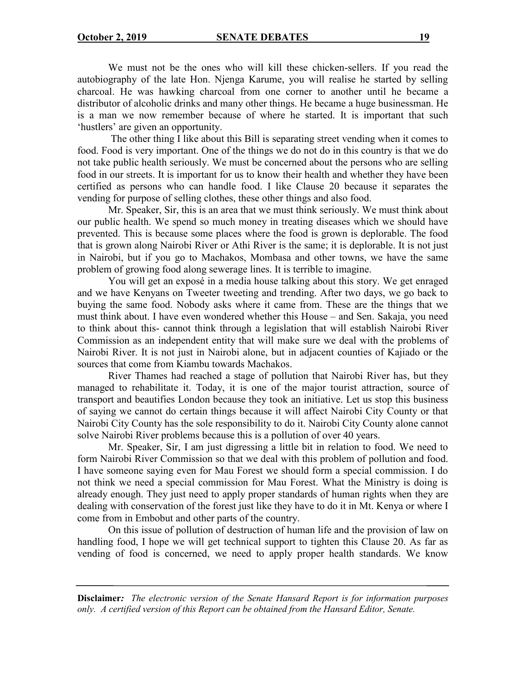We must not be the ones who will kill these chicken-sellers. If you read the autobiography of the late Hon. Njenga Karume, you will realise he started by selling charcoal. He was hawking charcoal from one corner to another until he became a distributor of alcoholic drinks and many other things. He became a huge businessman. He is a man we now remember because of where he started. It is important that such 'hustlers' are given an opportunity.

The other thing I like about this Bill is separating street vending when it comes to food. Food is very important. One of the things we do not do in this country is that we do not take public health seriously. We must be concerned about the persons who are selling food in our streets. It is important for us to know their health and whether they have been certified as persons who can handle food. I like Clause 20 because it separates the vending for purpose of selling clothes, these other things and also food.

Mr. Speaker, Sir, this is an area that we must think seriously. We must think about our public health. We spend so much money in treating diseases which we should have prevented. This is because some places where the food is grown is deplorable. The food that is grown along Nairobi River or Athi River is the same; it is deplorable. It is not just in Nairobi, but if you go to Machakos, Mombasa and other towns, we have the same problem of growing food along sewerage lines. It is terrible to imagine.

You will get an exposé in a media house talking about this story. We get enraged and we have Kenyans on Tweeter tweeting and trending. After two days, we go back to buying the same food. Nobody asks where it came from. These are the things that we must think about. I have even wondered whether this House – and Sen. Sakaja, you need to think about this- cannot think through a legislation that will establish Nairobi River Commission as an independent entity that will make sure we deal with the problems of Nairobi River. It is not just in Nairobi alone, but in adjacent counties of Kajiado or the sources that come from Kiambu towards Machakos.

River Thames had reached a stage of pollution that Nairobi River has, but they managed to rehabilitate it. Today, it is one of the major tourist attraction, source of transport and beautifies London because they took an initiative. Let us stop this business of saying we cannot do certain things because it will affect Nairobi City County or that Nairobi City County has the sole responsibility to do it. Nairobi City County alone cannot solve Nairobi River problems because this is a pollution of over 40 years.

Mr. Speaker, Sir, I am just digressing a little bit in relation to food. We need to form Nairobi River Commission so that we deal with this problem of pollution and food. I have someone saying even for Mau Forest we should form a special commission. I do not think we need a special commission for Mau Forest. What the Ministry is doing is already enough. They just need to apply proper standards of human rights when they are dealing with conservation of the forest just like they have to do it in Mt. Kenya or where I come from in Embobut and other parts of the country.

On this issue of pollution of destruction of human life and the provision of law on handling food, I hope we will get technical support to tighten this Clause 20. As far as vending of food is concerned, we need to apply proper health standards. We know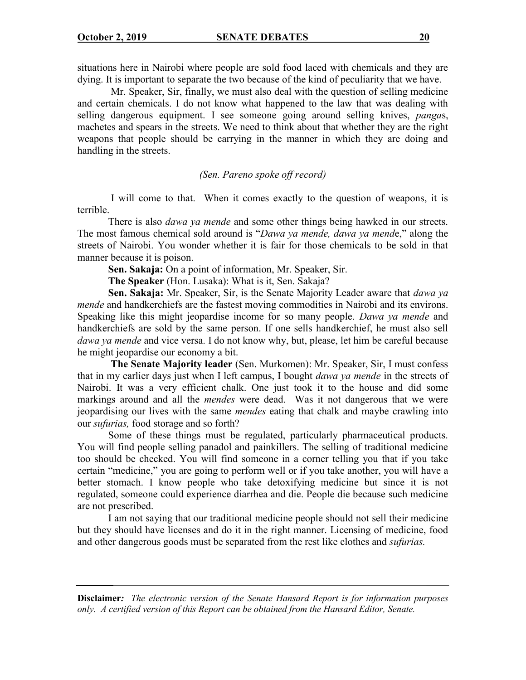situations here in Nairobi where people are sold food laced with chemicals and they are dying. It is important to separate the two because of the kind of peculiarity that we have.

Mr. Speaker, Sir, finally, we must also deal with the question of selling medicine and certain chemicals. I do not know what happened to the law that was dealing with selling dangerous equipment. I see someone going around selling knives, *panga*s, machetes and spears in the streets. We need to think about that whether they are the right weapons that people should be carrying in the manner in which they are doing and handling in the streets.

## *(Sen. Pareno spoke off record)*

I will come to that. When it comes exactly to the question of weapons, it is terrible.

There is also *dawa ya mende* and some other things being hawked in our streets. The most famous chemical sold around is "*Dawa ya mende, dawa ya mend*e," along the streets of Nairobi. You wonder whether it is fair for those chemicals to be sold in that manner because it is poison.

**Sen. Sakaja:** On a point of information, Mr. Speaker, Sir.

**The Speaker** (Hon. Lusaka): What is it, Sen. Sakaja?

**Sen. Sakaja:** Mr. Speaker, Sir, is the Senate Majority Leader aware that *dawa ya mende* and handkerchiefs are the fastest moving commodities in Nairobi and its environs. Speaking like this might jeopardise income for so many people. *Dawa ya mende* and handkerchiefs are sold by the same person. If one sells handkerchief, he must also sell *dawa ya mende* and vice versa. I do not know why, but, please, let him be careful because he might jeopardise our economy a bit.

**The Senate Majority leader** (Sen. Murkomen): Mr. Speaker, Sir, I must confess that in my earlier days just when I left campus, I bought *dawa ya mende* in the streets of Nairobi. It was a very efficient chalk. One just took it to the house and did some markings around and all the *mendes* were dead. Was it not dangerous that we were jeopardising our lives with the same *mendes* eating that chalk and maybe crawling into our *sufurias,* food storage and so forth?

Some of these things must be regulated, particularly pharmaceutical products. You will find people selling panadol and painkillers. The selling of traditional medicine too should be checked. You will find someone in a corner telling you that if you take certain "medicine," you are going to perform well or if you take another, you will have a better stomach. I know people who take detoxifying medicine but since it is not regulated, someone could experience diarrhea and die. People die because such medicine are not prescribed.

I am not saying that our traditional medicine people should not sell their medicine but they should have licenses and do it in the right manner. Licensing of medicine, food and other dangerous goods must be separated from the rest like clothes and *sufurias.*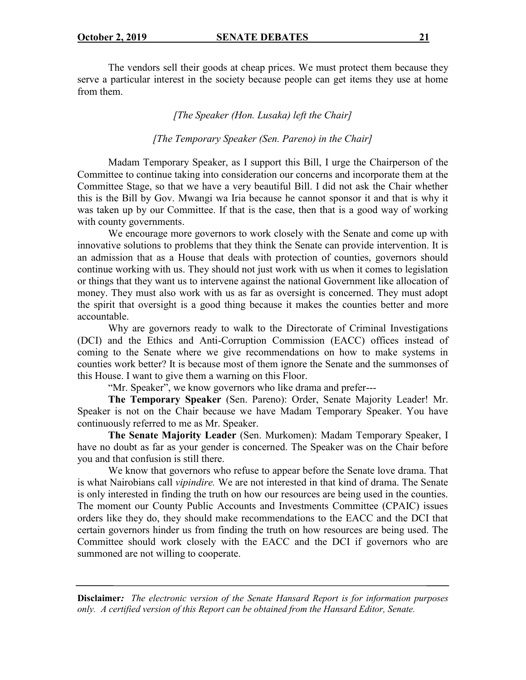The vendors sell their goods at cheap prices. We must protect them because they serve a particular interest in the society because people can get items they use at home from them.

## *[The Speaker (Hon. Lusaka) left the Chair]*

*[The Temporary Speaker (Sen. Pareno) in the Chair]*

Madam Temporary Speaker, as I support this Bill, I urge the Chairperson of the Committee to continue taking into consideration our concerns and incorporate them at the Committee Stage, so that we have a very beautiful Bill. I did not ask the Chair whether this is the Bill by Gov. Mwangi wa Iria because he cannot sponsor it and that is why it was taken up by our Committee. If that is the case, then that is a good way of working with county governments.

We encourage more governors to work closely with the Senate and come up with innovative solutions to problems that they think the Senate can provide intervention. It is an admission that as a House that deals with protection of counties, governors should continue working with us. They should not just work with us when it comes to legislation or things that they want us to intervene against the national Government like allocation of money. They must also work with us as far as oversight is concerned. They must adopt the spirit that oversight is a good thing because it makes the counties better and more accountable.

Why are governors ready to walk to the Directorate of Criminal Investigations (DCI) and the Ethics and Anti-Corruption Commission (EACC) offices instead of coming to the Senate where we give recommendations on how to make systems in counties work better? It is because most of them ignore the Senate and the summonses of this House. I want to give them a warning on this Floor.

"Mr. Speaker", we know governors who like drama and prefer---

**The Temporary Speaker** (Sen. Pareno): Order, Senate Majority Leader! Mr. Speaker is not on the Chair because we have Madam Temporary Speaker. You have continuously referred to me as Mr. Speaker.

**The Senate Majority Leader** (Sen. Murkomen): Madam Temporary Speaker, I have no doubt as far as your gender is concerned. The Speaker was on the Chair before you and that confusion is still there.

We know that governors who refuse to appear before the Senate love drama. That is what Nairobians call *vipindire.* We are not interested in that kind of drama. The Senate is only interested in finding the truth on how our resources are being used in the counties. The moment our County Public Accounts and Investments Committee (CPAIC) issues orders like they do, they should make recommendations to the EACC and the DCI that certain governors hinder us from finding the truth on how resources are being used. The Committee should work closely with the EACC and the DCI if governors who are summoned are not willing to cooperate.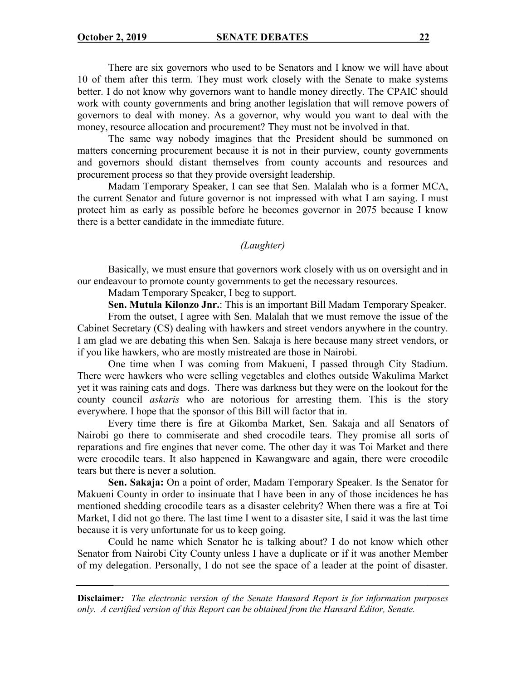There are six governors who used to be Senators and I know we will have about 10 of them after this term. They must work closely with the Senate to make systems better. I do not know why governors want to handle money directly. The CPAIC should work with county governments and bring another legislation that will remove powers of governors to deal with money. As a governor, why would you want to deal with the money, resource allocation and procurement? They must not be involved in that.

The same way nobody imagines that the President should be summoned on matters concerning procurement because it is not in their purview, county governments and governors should distant themselves from county accounts and resources and procurement process so that they provide oversight leadership.

Madam Temporary Speaker, I can see that Sen. Malalah who is a former MCA, the current Senator and future governor is not impressed with what I am saying. I must protect him as early as possible before he becomes governor in 2075 because I know there is a better candidate in the immediate future.

#### *(Laughter)*

Basically, we must ensure that governors work closely with us on oversight and in our endeavour to promote county governments to get the necessary resources.

Madam Temporary Speaker, I beg to support.

**Sen. Mutula Kilonzo Jnr.**: This is an important Bill Madam Temporary Speaker.

From the outset, I agree with Sen. Malalah that we must remove the issue of the Cabinet Secretary (CS) dealing with hawkers and street vendors anywhere in the country. I am glad we are debating this when Sen. Sakaja is here because many street vendors, or if you like hawkers, who are mostly mistreated are those in Nairobi.

One time when I was coming from Makueni, I passed through City Stadium. There were hawkers who were selling vegetables and clothes outside Wakulima Market yet it was raining cats and dogs. There was darkness but they were on the lookout for the county council *askaris* who are notorious for arresting them. This is the story everywhere. I hope that the sponsor of this Bill will factor that in.

Every time there is fire at Gikomba Market, Sen. Sakaja and all Senators of Nairobi go there to commiserate and shed crocodile tears. They promise all sorts of reparations and fire engines that never come. The other day it was Toi Market and there were crocodile tears. It also happened in Kawangware and again, there were crocodile tears but there is never a solution.

**Sen. Sakaja:** On a point of order, Madam Temporary Speaker. Is the Senator for Makueni County in order to insinuate that I have been in any of those incidences he has mentioned shedding crocodile tears as a disaster celebrity? When there was a fire at Toi Market, I did not go there. The last time I went to a disaster site, I said it was the last time because it is very unfortunate for us to keep going.

Could he name which Senator he is talking about? I do not know which other Senator from Nairobi City County unless I have a duplicate or if it was another Member of my delegation. Personally, I do not see the space of a leader at the point of disaster.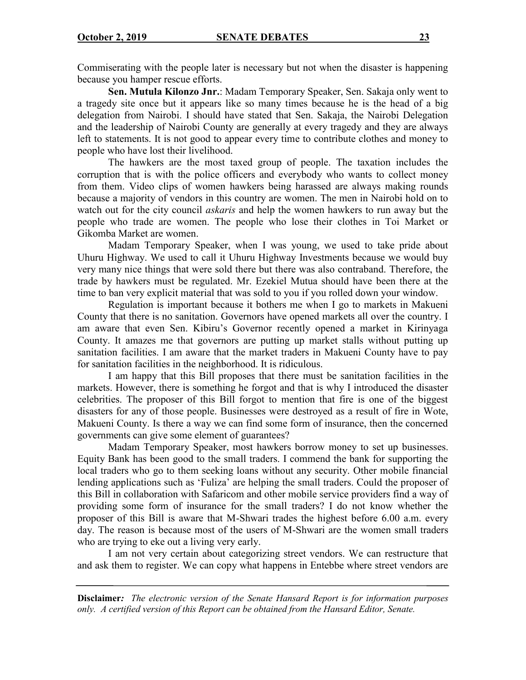Commiserating with the people later is necessary but not when the disaster is happening because you hamper rescue efforts.

**Sen. Mutula Kilonzo Jnr.**: Madam Temporary Speaker, Sen. Sakaja only went to a tragedy site once but it appears like so many times because he is the head of a big delegation from Nairobi. I should have stated that Sen. Sakaja, the Nairobi Delegation and the leadership of Nairobi County are generally at every tragedy and they are always left to statements. It is not good to appear every time to contribute clothes and money to people who have lost their livelihood.

The hawkers are the most taxed group of people. The taxation includes the corruption that is with the police officers and everybody who wants to collect money from them. Video clips of women hawkers being harassed are always making rounds because a majority of vendors in this country are women. The men in Nairobi hold on to watch out for the city council *askaris* and help the women hawkers to run away but the people who trade are women. The people who lose their clothes in Toi Market or Gikomba Market are women.

Madam Temporary Speaker, when I was young, we used to take pride about Uhuru Highway. We used to call it Uhuru Highway Investments because we would buy very many nice things that were sold there but there was also contraband. Therefore, the trade by hawkers must be regulated. Mr. Ezekiel Mutua should have been there at the time to ban very explicit material that was sold to you if you rolled down your window.

Regulation is important because it bothers me when I go to markets in Makueni County that there is no sanitation. Governors have opened markets all over the country. I am aware that even Sen. Kibiru's Governor recently opened a market in Kirinyaga County. It amazes me that governors are putting up market stalls without putting up sanitation facilities. I am aware that the market traders in Makueni County have to pay for sanitation facilities in the neighborhood. It is ridiculous.

I am happy that this Bill proposes that there must be sanitation facilities in the markets. However, there is something he forgot and that is why I introduced the disaster celebrities. The proposer of this Bill forgot to mention that fire is one of the biggest disasters for any of those people. Businesses were destroyed as a result of fire in Wote, Makueni County. Is there a way we can find some form of insurance, then the concerned governments can give some element of guarantees?

Madam Temporary Speaker, most hawkers borrow money to set up businesses. Equity Bank has been good to the small traders. I commend the bank for supporting the local traders who go to them seeking loans without any security. Other mobile financial lending applications such as 'Fuliza' are helping the small traders. Could the proposer of this Bill in collaboration with Safaricom and other mobile service providers find a way of providing some form of insurance for the small traders? I do not know whether the proposer of this Bill is aware that M-Shwari trades the highest before 6.00 a.m. every day. The reason is because most of the users of M-Shwari are the women small traders who are trying to eke out a living very early.

I am not very certain about categorizing street vendors. We can restructure that and ask them to register. We can copy what happens in Entebbe where street vendors are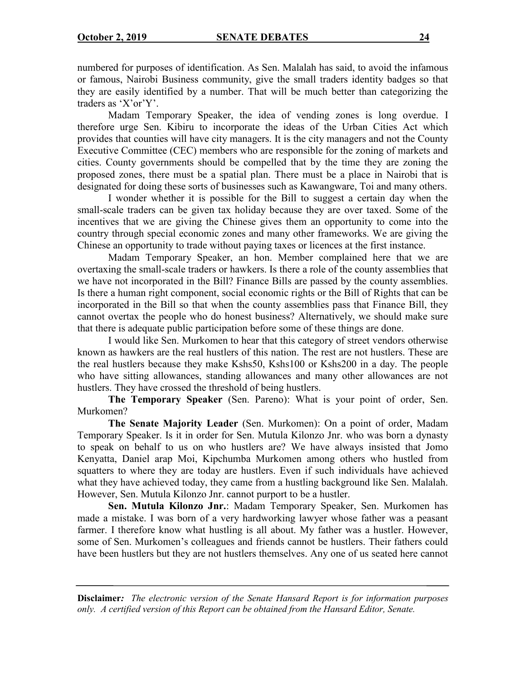numbered for purposes of identification. As Sen. Malalah has said, to avoid the infamous or famous, Nairobi Business community, give the small traders identity badges so that they are easily identified by a number. That will be much better than categorizing the traders as 'X'or'Y'.

Madam Temporary Speaker, the idea of vending zones is long overdue. I therefore urge Sen. Kibiru to incorporate the ideas of the Urban Cities Act which provides that counties will have city managers. It is the city managers and not the County Executive Committee (CEC) members who are responsible for the zoning of markets and cities. County governments should be compelled that by the time they are zoning the proposed zones, there must be a spatial plan. There must be a place in Nairobi that is designated for doing these sorts of businesses such as Kawangware, Toi and many others.

I wonder whether it is possible for the Bill to suggest a certain day when the small-scale traders can be given tax holiday because they are over taxed. Some of the incentives that we are giving the Chinese gives them an opportunity to come into the country through special economic zones and many other frameworks. We are giving the Chinese an opportunity to trade without paying taxes or licences at the first instance.

Madam Temporary Speaker, an hon. Member complained here that we are overtaxing the small-scale traders or hawkers. Is there a role of the county assemblies that we have not incorporated in the Bill? Finance Bills are passed by the county assemblies. Is there a human right component, social economic rights or the Bill of Rights that can be incorporated in the Bill so that when the county assemblies pass that Finance Bill, they cannot overtax the people who do honest business? Alternatively, we should make sure that there is adequate public participation before some of these things are done.

I would like Sen. Murkomen to hear that this category of street vendors otherwise known as hawkers are the real hustlers of this nation. The rest are not hustlers. These are the real hustlers because they make Kshs50, Kshs100 or Kshs200 in a day. The people who have sitting allowances, standing allowances and many other allowances are not hustlers. They have crossed the threshold of being hustlers.

**The Temporary Speaker** (Sen. Pareno): What is your point of order, Sen. Murkomen?

**The Senate Majority Leader** (Sen. Murkomen): On a point of order, Madam Temporary Speaker. Is it in order for Sen. Mutula Kilonzo Jnr. who was born a dynasty to speak on behalf to us on who hustlers are? We have always insisted that Jomo Kenyatta, Daniel arap Moi, Kipchumba Murkomen among others who hustled from squatters to where they are today are hustlers. Even if such individuals have achieved what they have achieved today, they came from a hustling background like Sen. Malalah. However, Sen. Mutula Kilonzo Jnr. cannot purport to be a hustler.

**Sen. Mutula Kilonzo Jnr.**: Madam Temporary Speaker, Sen. Murkomen has made a mistake. I was born of a very hardworking lawyer whose father was a peasant farmer. I therefore know what hustling is all about. My father was a hustler. However, some of Sen. Murkomen's colleagues and friends cannot be hustlers. Their fathers could have been hustlers but they are not hustlers themselves. Any one of us seated here cannot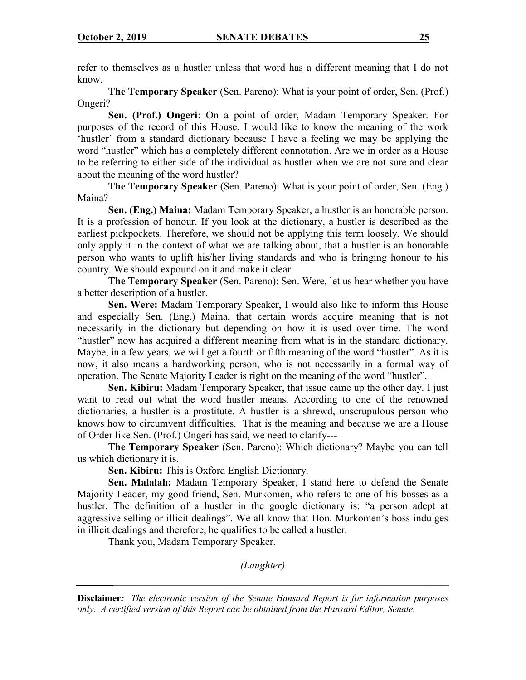refer to themselves as a hustler unless that word has a different meaning that I do not know.

**The Temporary Speaker** (Sen. Pareno): What is your point of order, Sen. (Prof.) Ongeri?

**Sen. (Prof.) Ongeri**: On a point of order, Madam Temporary Speaker. For purposes of the record of this House, I would like to know the meaning of the work 'hustler' from a standard dictionary because I have a feeling we may be applying the word "hustler" which has a completely different connotation. Are we in order as a House to be referring to either side of the individual as hustler when we are not sure and clear about the meaning of the word hustler?

**The Temporary Speaker** (Sen. Pareno): What is your point of order, Sen. (Eng.) Maina?

**Sen. (Eng.) Maina:** Madam Temporary Speaker, a hustler is an honorable person. It is a profession of honour. If you look at the dictionary, a hustler is described as the earliest pickpockets. Therefore, we should not be applying this term loosely. We should only apply it in the context of what we are talking about, that a hustler is an honorable person who wants to uplift his/her living standards and who is bringing honour to his country. We should expound on it and make it clear.

**The Temporary Speaker** (Sen. Pareno): Sen. Were, let us hear whether you have a better description of a hustler.

**Sen. Were:** Madam Temporary Speaker, I would also like to inform this House and especially Sen. (Eng.) Maina, that certain words acquire meaning that is not necessarily in the dictionary but depending on how it is used over time. The word "hustler" now has acquired a different meaning from what is in the standard dictionary. Maybe, in a few years, we will get a fourth or fifth meaning of the word "hustler". As it is now, it also means a hardworking person, who is not necessarily in a formal way of operation. The Senate Majority Leader is right on the meaning of the word "hustler".

**Sen. Kibiru:** Madam Temporary Speaker, that issue came up the other day. I just want to read out what the word hustler means. According to one of the renowned dictionaries, a hustler is a prostitute. A hustler is a shrewd, unscrupulous person who knows how to circumvent difficulties. That is the meaning and because we are a House of Order like Sen. (Prof.) Ongeri has said, we need to clarify---

**The Temporary Speaker** (Sen. Pareno): Which dictionary? Maybe you can tell us which dictionary it is.

**Sen. Kibiru:** This is Oxford English Dictionary.

**Sen. Malalah:** Madam Temporary Speaker, I stand here to defend the Senate Majority Leader, my good friend, Sen. Murkomen, who refers to one of his bosses as a hustler. The definition of a hustler in the google dictionary is: "a person adept at aggressive selling or illicit dealings". We all know that Hon. Murkomen's boss indulges in illicit dealings and therefore, he qualifies to be called a hustler.

Thank you, Madam Temporary Speaker.

*(Laughter)*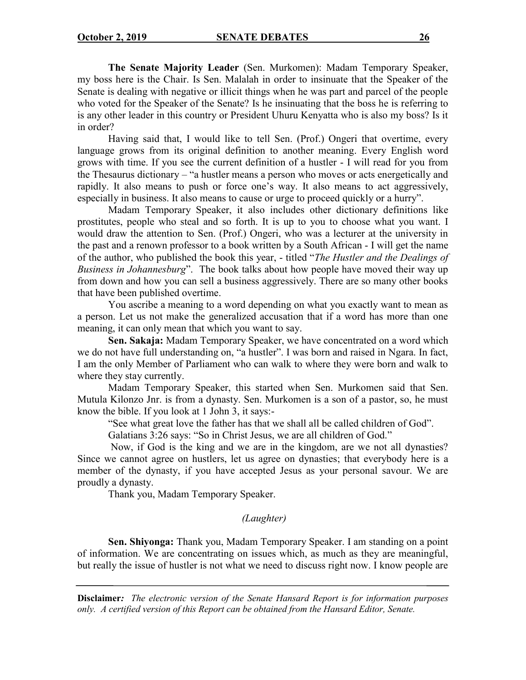**The Senate Majority Leader** (Sen. Murkomen): Madam Temporary Speaker, my boss here is the Chair. Is Sen. Malalah in order to insinuate that the Speaker of the Senate is dealing with negative or illicit things when he was part and parcel of the people who voted for the Speaker of the Senate? Is he insinuating that the boss he is referring to is any other leader in this country or President Uhuru Kenyatta who is also my boss? Is it in order?

Having said that, I would like to tell Sen. (Prof.) Ongeri that overtime, every language grows from its original definition to another meaning. Every English word grows with time. If you see the current definition of a hustler - I will read for you from the Thesaurus dictionary – "a hustler means a person who moves or acts energetically and rapidly. It also means to push or force one's way. It also means to act aggressively, especially in business. It also means to cause or urge to proceed quickly or a hurry".

Madam Temporary Speaker, it also includes other dictionary definitions like prostitutes, people who steal and so forth. It is up to you to choose what you want. I would draw the attention to Sen. (Prof.) Ongeri, who was a lecturer at the university in the past and a renown professor to a book written by a South African - I will get the name of the author, who published the book this year, - titled "*The Hustler and the Dealings of Business in Johannesburg*". The book talks about how people have moved their way up from down and how you can sell a business aggressively. There are so many other books that have been published overtime.

You ascribe a meaning to a word depending on what you exactly want to mean as a person. Let us not make the generalized accusation that if a word has more than one meaning, it can only mean that which you want to say.

**Sen. Sakaja:** Madam Temporary Speaker, we have concentrated on a word which we do not have full understanding on, "a hustler". I was born and raised in Ngara. In fact, I am the only Member of Parliament who can walk to where they were born and walk to where they stay currently.

Madam Temporary Speaker, this started when Sen. Murkomen said that Sen. Mutula Kilonzo Jnr. is from a dynasty. Sen. Murkomen is a son of a pastor, so, he must know the bible. If you look at 1 John 3, it says:-

"See what great love the father has that we shall all be called children of God".

Galatians 3:26 says: "So in Christ Jesus, we are all children of God."

Now, if God is the king and we are in the kingdom, are we not all dynasties? Since we cannot agree on hustlers, let us agree on dynasties; that everybody here is a member of the dynasty, if you have accepted Jesus as your personal savour. We are proudly a dynasty.

Thank you, Madam Temporary Speaker.

# *(Laughter)*

**Sen. Shiyonga:** Thank you, Madam Temporary Speaker. I am standing on a point of information. We are concentrating on issues which, as much as they are meaningful, but really the issue of hustler is not what we need to discuss right now. I know people are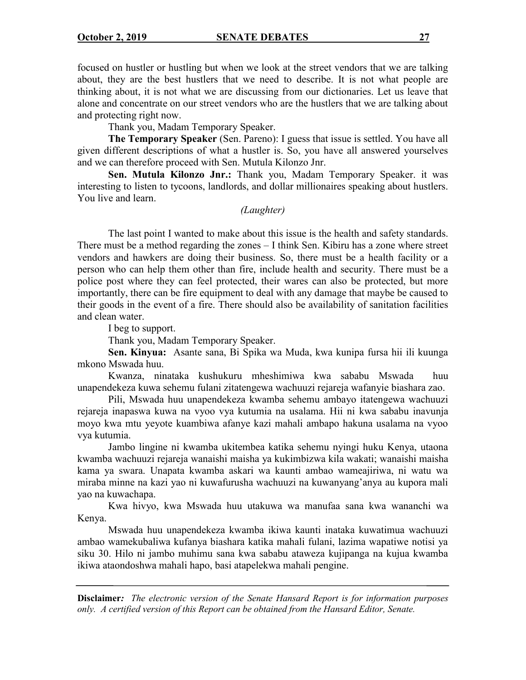focused on hustler or hustling but when we look at the street vendors that we are talking about, they are the best hustlers that we need to describe. It is not what people are thinking about, it is not what we are discussing from our dictionaries. Let us leave that alone and concentrate on our street vendors who are the hustlers that we are talking about and protecting right now.

Thank you, Madam Temporary Speaker.

**The Temporary Speaker** (Sen. Pareno): I guess that issue is settled. You have all given different descriptions of what a hustler is. So, you have all answered yourselves and we can therefore proceed with Sen. Mutula Kilonzo Jnr.

**Sen. Mutula Kilonzo Jnr.:** Thank you, Madam Temporary Speaker. it was interesting to listen to tycoons, landlords, and dollar millionaires speaking about hustlers. You live and learn.

#### *(Laughter)*

The last point I wanted to make about this issue is the health and safety standards. There must be a method regarding the zones – I think Sen. Kibiru has a zone where street vendors and hawkers are doing their business. So, there must be a health facility or a person who can help them other than fire, include health and security. There must be a police post where they can feel protected, their wares can also be protected, but more importantly, there can be fire equipment to deal with any damage that maybe be caused to their goods in the event of a fire. There should also be availability of sanitation facilities and clean water.

I beg to support.

Thank you, Madam Temporary Speaker.

**Sen. Kinyua:** Asante sana, Bi Spika wa Muda, kwa kunipa fursa hii ili kuunga mkono Mswada huu.

Kwanza, ninataka kushukuru mheshimiwa kwa sababu Mswada huu unapendekeza kuwa sehemu fulani zitatengewa wachuuzi rejareja wafanyie biashara zao.

Pili, Mswada huu unapendekeza kwamba sehemu ambayo itatengewa wachuuzi rejareja inapaswa kuwa na vyoo vya kutumia na usalama. Hii ni kwa sababu inavunja moyo kwa mtu yeyote kuambiwa afanye kazi mahali ambapo hakuna usalama na vyoo vya kutumia.

Jambo lingine ni kwamba ukitembea katika sehemu nyingi huku Kenya, utaona kwamba wachuuzi rejareja wanaishi maisha ya kukimbizwa kila wakati; wanaishi maisha kama ya swara. Unapata kwamba askari wa kaunti ambao wameajiriwa, ni watu wa miraba minne na kazi yao ni kuwafurusha wachuuzi na kuwanyang'anya au kupora mali yao na kuwachapa.

Kwa hivyo, kwa Mswada huu utakuwa wa manufaa sana kwa wananchi wa Kenya.

Mswada huu unapendekeza kwamba ikiwa kaunti inataka kuwatimua wachuuzi ambao wamekubaliwa kufanya biashara katika mahali fulani, lazima wapatiwe notisi ya siku 30. Hilo ni jambo muhimu sana kwa sababu ataweza kujipanga na kujua kwamba ikiwa ataondoshwa mahali hapo, basi atapelekwa mahali pengine.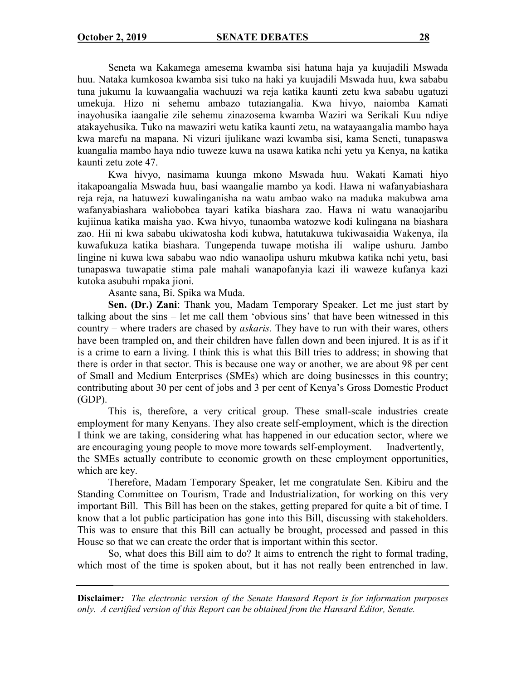Seneta wa Kakamega amesema kwamba sisi hatuna haja ya kuujadili Mswada huu. Nataka kumkosoa kwamba sisi tuko na haki ya kuujadili Mswada huu, kwa sababu tuna jukumu la kuwaangalia wachuuzi wa reja katika kaunti zetu kwa sababu ugatuzi umekuja. Hizo ni sehemu ambazo tutaziangalia. Kwa hivyo, naiomba Kamati inayohusika iaangalie zile sehemu zinazosema kwamba Waziri wa Serikali Kuu ndiye atakayehusika. Tuko na mawaziri wetu katika kaunti zetu, na watayaangalia mambo haya kwa marefu na mapana. Ni vizuri ijulikane wazi kwamba sisi, kama Seneti, tunapaswa kuangalia mambo haya ndio tuweze kuwa na usawa katika nchi yetu ya Kenya, na katika kaunti zetu zote 47.

Kwa hivyo, nasimama kuunga mkono Mswada huu. Wakati Kamati hiyo itakapoangalia Mswada huu, basi waangalie mambo ya kodi. Hawa ni wafanyabiashara reja reja, na hatuwezi kuwalinganisha na watu ambao wako na maduka makubwa ama wafanyabiashara waliobobea tayari katika biashara zao. Hawa ni watu wanaojaribu kujiinua katika maisha yao. Kwa hivyo, tunaomba watozwe kodi kulingana na biashara zao. Hii ni kwa sababu ukiwatosha kodi kubwa, hatutakuwa tukiwasaidia Wakenya, ila kuwafukuza katika biashara. Tungependa tuwape motisha ili walipe ushuru. Jambo lingine ni kuwa kwa sababu wao ndio wanaolipa ushuru mkubwa katika nchi yetu, basi tunapaswa tuwapatie stima pale mahali wanapofanyia kazi ili waweze kufanya kazi kutoka asubuhi mpaka jioni.

Asante sana, Bi. Spika wa Muda.

**Sen. (Dr.) Zani**: Thank you, Madam Temporary Speaker. Let me just start by talking about the sins – let me call them 'obvious sins' that have been witnessed in this country – where traders are chased by *askaris.* They have to run with their wares, others have been trampled on, and their children have fallen down and been injured. It is as if it is a crime to earn a living. I think this is what this Bill tries to address; in showing that there is order in that sector. This is because one way or another, we are about 98 per cent of Small and Medium Enterprises (SMEs) which are doing businesses in this country; contributing about 30 per cent of jobs and 3 per cent of Kenya's Gross Domestic Product (GDP).

This is, therefore, a very critical group. These small-scale industries create employment for many Kenyans. They also create self-employment, which is the direction I think we are taking, considering what has happened in our education sector, where we are encouraging young people to move more towards self-employment. Inadvertently, the SMEs actually contribute to economic growth on these employment opportunities, which are key.

Therefore, Madam Temporary Speaker, let me congratulate Sen. Kibiru and the Standing Committee on Tourism, Trade and Industrialization, for working on this very important Bill.This Bill has been on the stakes, getting prepared for quite a bit of time. I know that a lot public participation has gone into this Bill, discussing with stakeholders. This was to ensure that this Bill can actually be brought, processed and passed in this House so that we can create the order that is important within this sector.

So, what does this Bill aim to do? It aims to entrench the right to formal trading, which most of the time is spoken about, but it has not really been entrenched in law.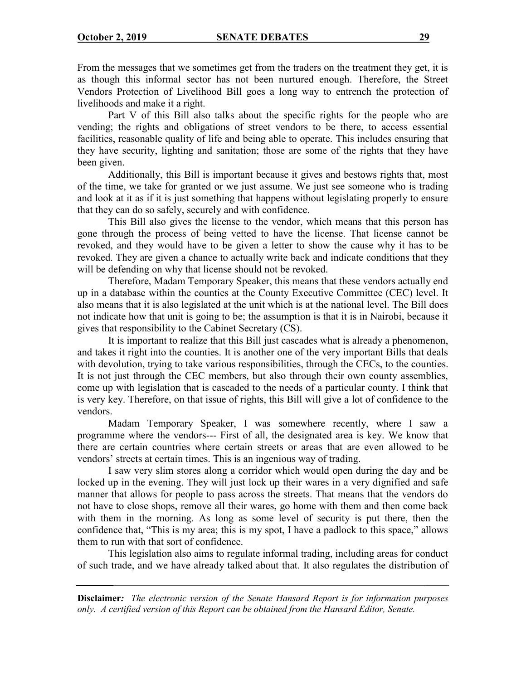From the messages that we sometimes get from the traders on the treatment they get, it is as though this informal sector has not been nurtured enough. Therefore, the Street Vendors Protection of Livelihood Bill goes a long way to entrench the protection of livelihoods and make it a right.

Part V of this Bill also talks about the specific rights for the people who are vending; the rights and obligations of street vendors to be there, to access essential facilities, reasonable quality of life and being able to operate. This includes ensuring that they have security, lighting and sanitation; those are some of the rights that they have been given.

Additionally, this Bill is important because it gives and bestows rights that, most of the time, we take for granted or we just assume. We just see someone who is trading and look at it as if it is just something that happens without legislating properly to ensure that they can do so safely, securely and with confidence.

This Bill also gives the license to the vendor, which means that this person has gone through the process of being vetted to have the license. That license cannot be revoked, and they would have to be given a letter to show the cause why it has to be revoked. They are given a chance to actually write back and indicate conditions that they will be defending on why that license should not be revoked.

Therefore, Madam Temporary Speaker, this means that these vendors actually end up in a database within the counties at the County Executive Committee (CEC) level. It also means that it is also legislated at the unit which is at the national level. The Bill does not indicate how that unit is going to be; the assumption is that it is in Nairobi, because it gives that responsibility to the Cabinet Secretary (CS).

It is important to realize that this Bill just cascades what is already a phenomenon, and takes it right into the counties. It is another one of the very important Bills that deals with devolution, trying to take various responsibilities, through the CECs, to the counties. It is not just through the CEC members, but also through their own county assemblies, come up with legislation that is cascaded to the needs of a particular county. I think that is very key. Therefore, on that issue of rights, this Bill will give a lot of confidence to the vendors.

Madam Temporary Speaker, I was somewhere recently, where I saw a programme where the vendors--- First of all, the designated area is key. We know that there are certain countries where certain streets or areas that are even allowed to be vendors' streets at certain times. This is an ingenious way of trading.

I saw very slim stores along a corridor which would open during the day and be locked up in the evening. They will just lock up their wares in a very dignified and safe manner that allows for people to pass across the streets. That means that the vendors do not have to close shops, remove all their wares, go home with them and then come back with them in the morning. As long as some level of security is put there, then the confidence that, "This is my area; this is my spot, I have a padlock to this space," allows them to run with that sort of confidence.

This legislation also aims to regulate informal trading, including areas for conduct of such trade, and we have already talked about that. It also regulates the distribution of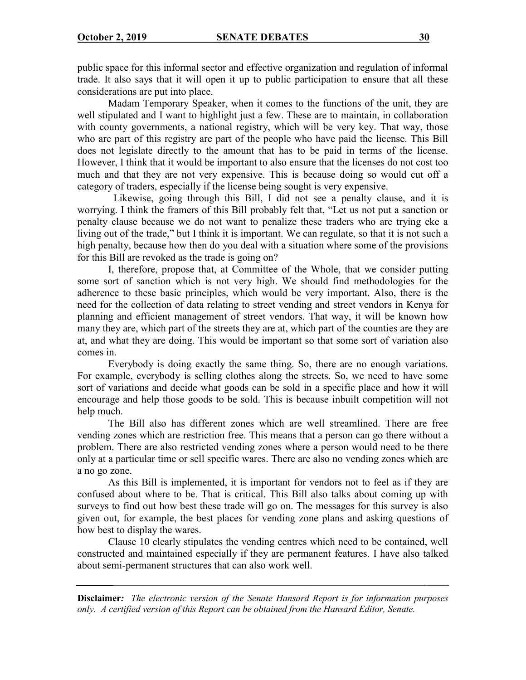public space for this informal sector and effective organization and regulation of informal trade. It also says that it will open it up to public participation to ensure that all these considerations are put into place.

Madam Temporary Speaker, when it comes to the functions of the unit, they are well stipulated and I want to highlight just a few. These are to maintain, in collaboration with county governments, a national registry, which will be very key. That way, those who are part of this registry are part of the people who have paid the license. This Bill does not legislate directly to the amount that has to be paid in terms of the license. However, I think that it would be important to also ensure that the licenses do not cost too much and that they are not very expensive. This is because doing so would cut off a category of traders, especially if the license being sought is very expensive.

 Likewise, going through this Bill, I did not see a penalty clause, and it is worrying. I think the framers of this Bill probably felt that, "Let us not put a sanction or penalty clause because we do not want to penalize these traders who are trying eke a living out of the trade," but I think it is important. We can regulate, so that it is not such a high penalty, because how then do you deal with a situation where some of the provisions for this Bill are revoked as the trade is going on?

I, therefore, propose that, at Committee of the Whole, that we consider putting some sort of sanction which is not very high. We should find methodologies for the adherence to these basic principles, which would be very important. Also, there is the need for the collection of data relating to street vending and street vendors in Kenya for planning and efficient management of street vendors. That way, it will be known how many they are, which part of the streets they are at, which part of the counties are they are at, and what they are doing. This would be important so that some sort of variation also comes in.

Everybody is doing exactly the same thing. So, there are no enough variations. For example, everybody is selling clothes along the streets. So, we need to have some sort of variations and decide what goods can be sold in a specific place and how it will encourage and help those goods to be sold. This is because inbuilt competition will not help much.

The Bill also has different zones which are well streamlined. There are free vending zones which are restriction free. This means that a person can go there without a problem. There are also restricted vending zones where a person would need to be there only at a particular time or sell specific wares. There are also no vending zones which are a no go zone.

As this Bill is implemented, it is important for vendors not to feel as if they are confused about where to be. That is critical. This Bill also talks about coming up with surveys to find out how best these trade will go on. The messages for this survey is also given out, for example, the best places for vending zone plans and asking questions of how best to display the wares.

Clause 10 clearly stipulates the vending centres which need to be contained, well constructed and maintained especially if they are permanent features. I have also talked about semi-permanent structures that can also work well.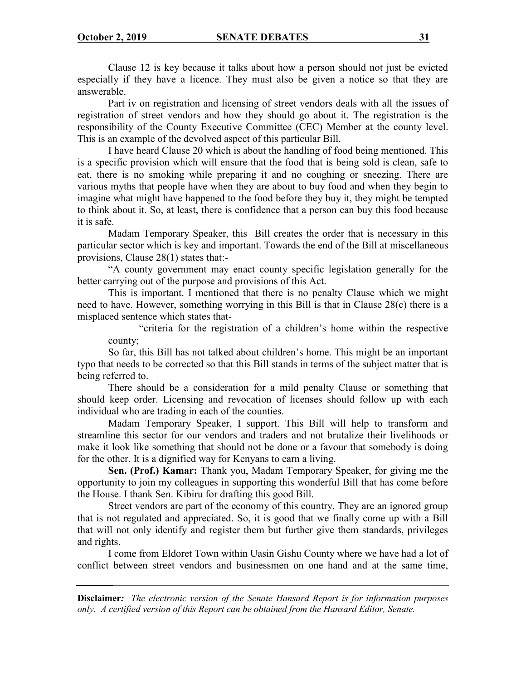Clause 12 is key because it talks about how a person should not just be evicted especially if they have a licence. They must also be given a notice so that they are answerable.

Part iv on registration and licensing of street vendors deals with all the issues of registration of street vendors and how they should go about it. The registration is the responsibility of the County Executive Committee (CEC) Member at the county level. This is an example of the devolved aspect of this particular Bill.

I have heard Clause 20 which is about the handling of food being mentioned. This is a specific provision which will ensure that the food that is being sold is clean, safe to eat, there is no smoking while preparing it and no coughing or sneezing. There are various myths that people have when they are about to buy food and when they begin to imagine what might have happened to the food before they buy it, they might be tempted to think about it. So, at least, there is confidence that a person can buy this food because it is safe.

Madam Temporary Speaker, this Bill creates the order that is necessary in this particular sector which is key and important. Towards the end of the Bill at miscellaneous provisions, Clause 28(1) states that:-

"A county government may enact county specific legislation generally for the better carrying out of the purpose and provisions of this Act.

This is important. I mentioned that there is no penalty Clause which we might need to have. However, something worrying in this Bill is that in Clause 28(c) there is a misplaced sentence which states that-

"criteria for the registration of a children's home within the respective county;

So far, this Bill has not talked about children's home. This might be an important typo that needs to be corrected so that this Bill stands in terms of the subject matter that is being referred to.

There should be a consideration for a mild penalty Clause or something that should keep order. Licensing and revocation of licenses should follow up with each individual who are trading in each of the counties.

Madam Temporary Speaker, I support. This Bill will help to transform and streamline this sector for our vendors and traders and not brutalize their livelihoods or make it look like something that should not be done or a favour that somebody is doing for the other. It is a dignified way for Kenyans to earn a living.

**Sen. (Prof.) Kamar:** Thank you, Madam Temporary Speaker, for giving me the opportunity to join my colleagues in supporting this wonderful Bill that has come before the House. I thank Sen. Kibiru for drafting this good Bill.

Street vendors are part of the economy of this country. They are an ignored group that is not regulated and appreciated. So, it is good that we finally come up with a Bill that will not only identify and register them but further give them standards, privileges and rights.

I come from Eldoret Town within Uasin Gishu County where we have had a lot of conflict between street vendors and businessmen on one hand and at the same time,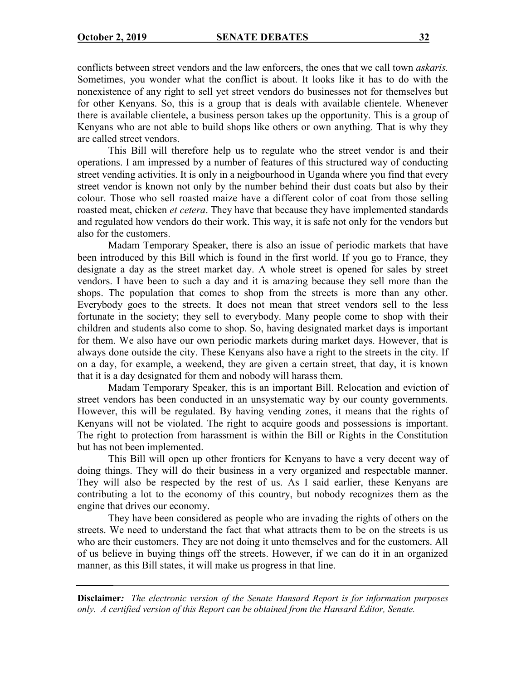conflicts between street vendors and the law enforcers, the ones that we call town *askaris.* Sometimes, you wonder what the conflict is about. It looks like it has to do with the nonexistence of any right to sell yet street vendors do businesses not for themselves but for other Kenyans. So, this is a group that is deals with available clientele. Whenever there is available clientele, a business person takes up the opportunity. This is a group of Kenyans who are not able to build shops like others or own anything. That is why they are called street vendors.

This Bill will therefore help us to regulate who the street vendor is and their operations. I am impressed by a number of features of this structured way of conducting street vending activities. It is only in a neigbourhood in Uganda where you find that every street vendor is known not only by the number behind their dust coats but also by their colour. Those who sell roasted maize have a different color of coat from those selling roasted meat, chicken *et cetera*. They have that because they have implemented standards and regulated how vendors do their work. This way, it is safe not only for the vendors but also for the customers.

Madam Temporary Speaker, there is also an issue of periodic markets that have been introduced by this Bill which is found in the first world. If you go to France, they designate a day as the street market day. A whole street is opened for sales by street vendors. I have been to such a day and it is amazing because they sell more than the shops. The population that comes to shop from the streets is more than any other. Everybody goes to the streets. It does not mean that street vendors sell to the less fortunate in the society; they sell to everybody. Many people come to shop with their children and students also come to shop. So, having designated market days is important for them. We also have our own periodic markets during market days. However, that is always done outside the city. These Kenyans also have a right to the streets in the city. If on a day, for example, a weekend, they are given a certain street, that day, it is known that it is a day designated for them and nobody will harass them.

Madam Temporary Speaker, this is an important Bill. Relocation and eviction of street vendors has been conducted in an unsystematic way by our county governments. However, this will be regulated. By having vending zones, it means that the rights of Kenyans will not be violated. The right to acquire goods and possessions is important. The right to protection from harassment is within the Bill or Rights in the Constitution but has not been implemented.

This Bill will open up other frontiers for Kenyans to have a very decent way of doing things. They will do their business in a very organized and respectable manner. They will also be respected by the rest of us. As I said earlier, these Kenyans are contributing a lot to the economy of this country, but nobody recognizes them as the engine that drives our economy.

They have been considered as people who are invading the rights of others on the streets. We need to understand the fact that what attracts them to be on the streets is us who are their customers. They are not doing it unto themselves and for the customers. All of us believe in buying things off the streets. However, if we can do it in an organized manner, as this Bill states, it will make us progress in that line.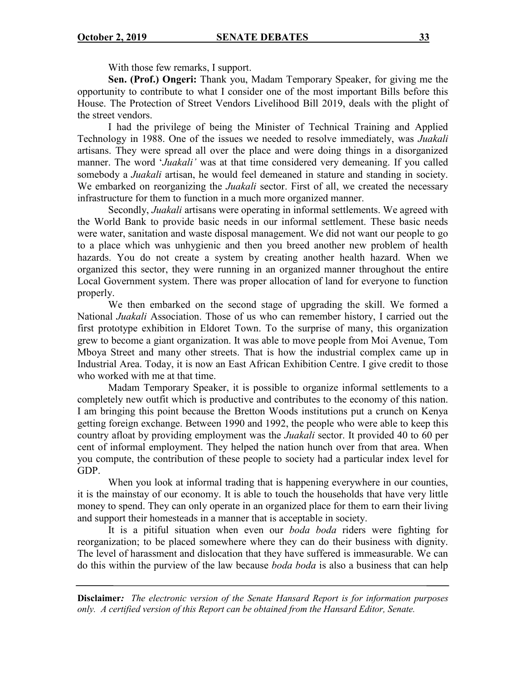With those few remarks, I support.

**Sen. (Prof.) Ongeri:** Thank you, Madam Temporary Speaker, for giving me the opportunity to contribute to what I consider one of the most important Bills before this House. The Protection of Street Vendors Livelihood Bill 2019, deals with the plight of the street vendors.

I had the privilege of being the Minister of Technical Training and Applied Technology in 1988. One of the issues we needed to resolve immediately, was *Juakali* artisans. They were spread all over the place and were doing things in a disorganized manner. The word '*Juakali'* was at that time considered very demeaning. If you called somebody a *Juakali* artisan, he would feel demeaned in stature and standing in society. We embarked on reorganizing the *Juakali* sector. First of all, we created the necessary infrastructure for them to function in a much more organized manner.

Secondly, *Juakali* artisans were operating in informal settlements. We agreed with the World Bank to provide basic needs in our informal settlement. These basic needs were water, sanitation and waste disposal management. We did not want our people to go to a place which was unhygienic and then you breed another new problem of health hazards. You do not create a system by creating another health hazard. When we organized this sector, they were running in an organized manner throughout the entire Local Government system. There was proper allocation of land for everyone to function properly.

We then embarked on the second stage of upgrading the skill. We formed a National *Juakali* Association. Those of us who can remember history, I carried out the first prototype exhibition in Eldoret Town. To the surprise of many, this organization grew to become a giant organization. It was able to move people from Moi Avenue, Tom Mboya Street and many other streets. That is how the industrial complex came up in Industrial Area. Today, it is now an East African Exhibition Centre. I give credit to those who worked with me at that time.

Madam Temporary Speaker, it is possible to organize informal settlements to a completely new outfit which is productive and contributes to the economy of this nation. I am bringing this point because the Bretton Woods institutions put a crunch on Kenya getting foreign exchange. Between 1990 and 1992, the people who were able to keep this country afloat by providing employment was the *Juakali* sector. It provided 40 to 60 per cent of informal employment. They helped the nation hunch over from that area. When you compute, the contribution of these people to society had a particular index level for GDP.

When you look at informal trading that is happening everywhere in our counties, it is the mainstay of our economy. It is able to touch the households that have very little money to spend. They can only operate in an organized place for them to earn their living and support their homesteads in a manner that is acceptable in society.

It is a pitiful situation when even our *boda boda* riders were fighting for reorganization; to be placed somewhere where they can do their business with dignity. The level of harassment and dislocation that they have suffered is immeasurable. We can do this within the purview of the law because *boda boda* is also a business that can help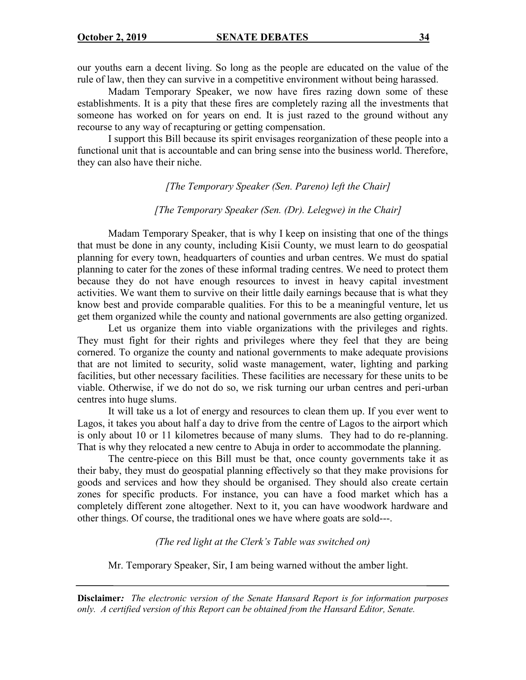our youths earn a decent living. So long as the people are educated on the value of the rule of law, then they can survive in a competitive environment without being harassed.

Madam Temporary Speaker, we now have fires razing down some of these establishments. It is a pity that these fires are completely razing all the investments that someone has worked on for years on end. It is just razed to the ground without any recourse to any way of recapturing or getting compensation.

I support this Bill because its spirit envisages reorganization of these people into a functional unit that is accountable and can bring sense into the business world. Therefore, they can also have their niche.

#### *[The Temporary Speaker (Sen. Pareno) left the Chair]*

#### *[The Temporary Speaker (Sen. (Dr). Lelegwe) in the Chair]*

Madam Temporary Speaker, that is why I keep on insisting that one of the things that must be done in any county, including Kisii County, we must learn to do geospatial planning for every town, headquarters of counties and urban centres. We must do spatial planning to cater for the zones of these informal trading centres. We need to protect them because they do not have enough resources to invest in heavy capital investment activities. We want them to survive on their little daily earnings because that is what they know best and provide comparable qualities. For this to be a meaningful venture, let us get them organized while the county and national governments are also getting organized.

Let us organize them into viable organizations with the privileges and rights. They must fight for their rights and privileges where they feel that they are being cornered. To organize the county and national governments to make adequate provisions that are not limited to security, solid waste management, water, lighting and parking facilities, but other necessary facilities. These facilities are necessary for these units to be viable. Otherwise, if we do not do so, we risk turning our urban centres and peri-urban centres into huge slums.

It will take us a lot of energy and resources to clean them up. If you ever went to Lagos, it takes you about half a day to drive from the centre of Lagos to the airport which is only about 10 or 11 kilometres because of many slums. They had to do re-planning. That is why they relocated a new centre to Abuja in order to accommodate the planning.

The centre-piece on this Bill must be that, once county governments take it as their baby, they must do geospatial planning effectively so that they make provisions for goods and services and how they should be organised. They should also create certain zones for specific products. For instance, you can have a food market which has a completely different zone altogether. Next to it, you can have woodwork hardware and other things. Of course, the traditional ones we have where goats are sold---.

*(The red light at the Clerk's Table was switched on)*

Mr. Temporary Speaker, Sir, I am being warned without the amber light.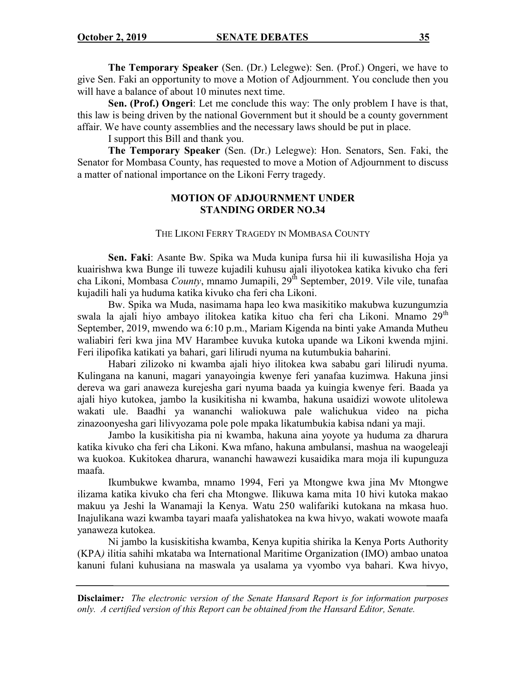**The Temporary Speaker** (Sen. (Dr.) Lelegwe): Sen. (Prof.) Ongeri, we have to give Sen. Faki an opportunity to move a Motion of Adjournment. You conclude then you will have a balance of about 10 minutes next time.

**Sen. (Prof.) Ongeri**: Let me conclude this way: The only problem I have is that, this law is being driven by the national Government but it should be a county government affair. We have county assemblies and the necessary laws should be put in place.

I support this Bill and thank you.

**The Temporary Speaker** (Sen. (Dr.) Lelegwe): Hon. Senators, Sen. Faki, the Senator for Mombasa County, has requested to move a Motion of Adjournment to discuss a matter of national importance on the Likoni Ferry tragedy.

## **MOTION OF ADJOURNMENT UNDER STANDING ORDER NO.34**

#### THE LIKONI FERRY TRAGEDY IN MOMBASA COUNTY

**Sen. Faki**: Asante Bw. Spika wa Muda kunipa fursa hii ili kuwasilisha Hoja ya kuairishwa kwa Bunge ili tuweze kujadili kuhusu ajali iliyotokea katika kivuko cha feri cha Likoni, Mombasa *County*, mnamo Jumapili, 29<sup>th</sup> September, 2019. Vile vile, tunafaa kujadili hali ya huduma katika kivuko cha feri cha Likoni.

Bw. Spika wa Muda, nasimama hapa leo kwa masikitiko makubwa kuzungumzia swala la ajali hiyo ambayo ilitokea katika kituo cha feri cha Likoni. Mnamo 29<sup>th</sup> September, 2019, mwendo wa 6:10 p.m., Mariam Kigenda na binti yake Amanda Mutheu waliabiri feri kwa jina MV Harambee kuvuka kutoka upande wa Likoni kwenda mjini. Feri ilipofika katikati ya bahari, gari lilirudi nyuma na kutumbukia baharini.

Habari zilizoko ni kwamba ajali hiyo ilitokea kwa sababu gari lilirudi nyuma. Kulingana na kanuni, magari yanayoingia kwenye feri yanafaa kuzimwa*.* Hakuna jinsi dereva wa gari anaweza kurejesha gari nyuma baada ya kuingia kwenye feri*.* Baada ya ajali hiyo kutokea, jambo la kusikitisha ni kwamba, hakuna usaidizi wowote ulitolewa wakati ule. Baadhi ya wananchi waliokuwa pale walichukua video na picha zinazoonyesha gari lilivyozama pole pole mpaka likatumbukia kabisa ndani ya maji.

Jambo la kusikitisha pia ni kwamba, hakuna aina yoyote ya huduma za dharura katika kivuko cha feri cha Likoni. Kwa mfano, hakuna ambulansi, mashua na waogeleaji wa kuokoa. Kukitokea dharura, wananchi hawawezi kusaidika mara moja ili kupunguza maafa.

Ikumbukwe kwamba, mnamo 1994, Feri ya Mtongwe kwa jina Mv Mtongwe ilizama katika kivuko cha feri cha Mtongwe. Ilikuwa kama mita 10 hivi kutoka makao makuu ya Jeshi la Wanamaji la Kenya. Watu 250 walifariki kutokana na mkasa huo. Inajulikana wazi kwamba tayari maafa yalishatokea na kwa hivyo, wakati wowote maafa yanaweza kutokea.

Ni jambo la kusiskitisha kwamba, Kenya kupitia shirika la Kenya Ports Authority (KPA*)* ilitia sahihi mkataba wa International Maritime Organization (IMO) ambao unatoa kanuni fulani kuhusiana na maswala ya usalama ya vyombo vya bahari. Kwa hivyo,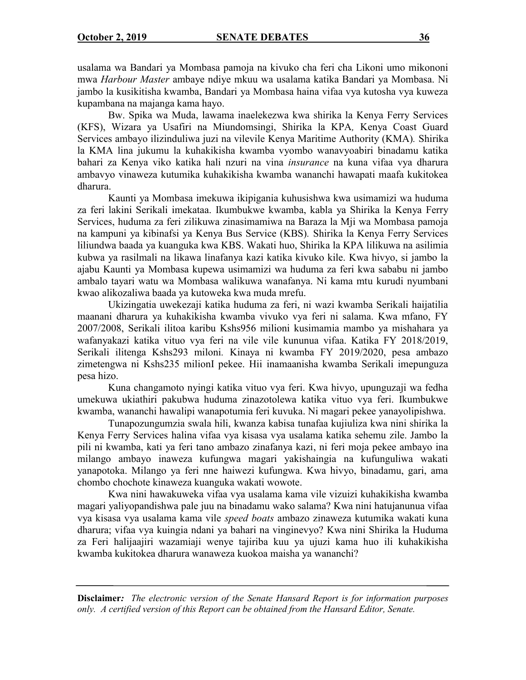usalama wa Bandari ya Mombasa pamoja na kivuko cha feri cha Likoni umo mikononi mwa *Harbour Master* ambaye ndiye mkuu wa usalama katika Bandari ya Mombasa. Ni jambo la kusikitisha kwamba, Bandari ya Mombasa haina vifaa vya kutosha vya kuweza kupambana na majanga kama hayo.

Bw. Spika wa Muda, lawama inaelekezwa kwa shirika la Kenya Ferry Services (KFS), Wizara ya Usafiri na Miundomsingi, Shirika la KPA*,* Kenya Coast Guard Services ambayo ilizinduliwa juzi na vilevile Kenya Maritime Authority (KMA)*.* Shirika la KMA lina jukumu la kuhakikisha kwamba vyombo wanavyoabiri binadamu katika bahari za Kenya viko katika hali nzuri na vina *insurance* na kuna vifaa vya dharura ambavyo vinaweza kutumika kuhakikisha kwamba wananchi hawapati maafa kukitokea dharura.

Kaunti ya Mombasa imekuwa ikipigania kuhusishwa kwa usimamizi wa huduma za feri lakini Serikali imekataa. Ikumbukwe kwamba, kabla ya Shirika la Kenya Ferry Services, huduma za feri zilikuwa zinasimamiwa na Baraza la Mji wa Mombasa pamoja na kampuni ya kibinafsi ya Kenya Bus Service (KBS)*.* Shirika la Kenya Ferry Services liliundwa baada ya kuanguka kwa KBS. Wakati huo, Shirika la KPA lilikuwa na asilimia kubwa ya rasilmali na likawa linafanya kazi katika kivuko kile. Kwa hivyo, si jambo la ajabu Kaunti ya Mombasa kupewa usimamizi wa huduma za feri kwa sababu ni jambo ambalo tayari watu wa Mombasa walikuwa wanafanya. Ni kama mtu kurudi nyumbani kwao alikozaliwa baada ya kutoweka kwa muda mrefu.

Ukizingatia uwekezaji katika huduma za feri, ni wazi kwamba Serikali haijatilia maanani dharura ya kuhakikisha kwamba vivuko vya feri ni salama. Kwa mfano, FY 2007/2008, Serikali ilitoa karibu Kshs956 milioni kusimamia mambo ya mishahara ya wafanyakazi katika vituo vya feri na vile vile kununua vifaa. Katika FY 2018/2019, Serikali ilitenga Kshs293 miloni*.* Kinaya ni kwamba FY 2019/2020, pesa ambazo zimetengwa ni Kshs235 milionI pekee. Hii inamaanisha kwamba Serikali imepunguza pesa hizo.

Kuna changamoto nyingi katika vituo vya feri. Kwa hivyo, upunguzaji wa fedha umekuwa ukiathiri pakubwa huduma zinazotolewa katika vituo vya feri. Ikumbukwe kwamba, wananchi hawalipi wanapotumia feri kuvuka. Ni magari pekee yanayolipishwa.

Tunapozungumzia swala hili, kwanza kabisa tunafaa kujiuliza kwa nini shirika la Kenya Ferry Services halina vifaa vya kisasa vya usalama katika sehemu zile. Jambo la pili ni kwamba, kati ya feri tano ambazo zinafanya kazi, ni feri moja pekee ambayo ina milango ambayo inaweza kufungwa magari yakishaingia na kufunguliwa wakati yanapotoka. Milango ya feri nne haiwezi kufungwa. Kwa hivyo, binadamu, gari, ama chombo chochote kinaweza kuanguka wakati wowote.

Kwa nini hawakuweka vifaa vya usalama kama vile vizuizi kuhakikisha kwamba magari yaliyopandishwa pale juu na binadamu wako salama? Kwa nini hatujanunua vifaa vya kisasa vya usalama kama vile *speed boats* ambazo zinaweza kutumika wakati kuna dharura; vifaa vya kuingia ndani ya bahari na vinginevyo? Kwa nini Shirika la Huduma za Feri halijaajiri wazamiaji wenye tajiriba kuu ya ujuzi kama huo ili kuhakikisha kwamba kukitokea dharura wanaweza kuokoa maisha ya wananchi?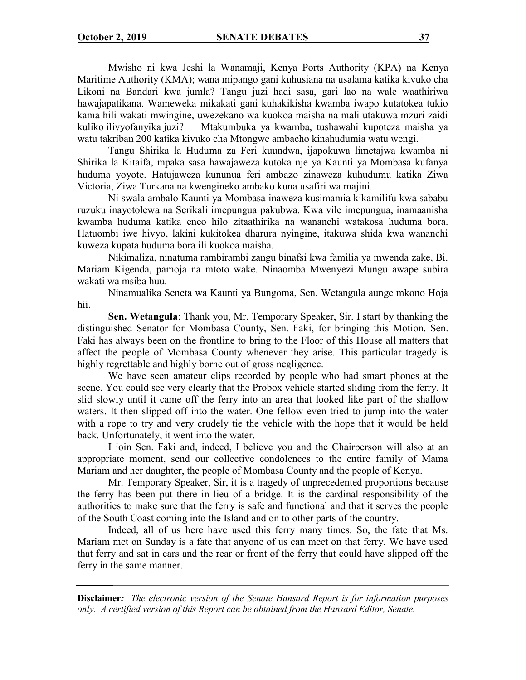Mwisho ni kwa Jeshi la Wanamaji, Kenya Ports Authority (KPA) na Kenya Maritime Authority (KMA); wana mipango gani kuhusiana na usalama katika kivuko cha Likoni na Bandari kwa jumla? Tangu juzi hadi sasa, gari lao na wale waathiriwa hawajapatikana. Wameweka mikakati gani kuhakikisha kwamba iwapo kutatokea tukio kama hili wakati mwingine, uwezekano wa kuokoa maisha na mali utakuwa mzuri zaidi kuliko ilivyofanyika juzi? Mtakumbuka ya kwamba, tushawahi kupoteza maisha ya watu takriban 200 katika kivuko cha Mtongwe ambacho kinahudumia watu wengi.

Tangu Shirika la Huduma za Feri kuundwa, ijapokuwa limetajwa kwamba ni Shirika la Kitaifa, mpaka sasa hawajaweza kutoka nje ya Kaunti ya Mombasa kufanya huduma yoyote. Hatujaweza kununua feri ambazo zinaweza kuhudumu katika Ziwa Victoria, Ziwa Turkana na kwengineko ambako kuna usafiri wa majini.

Ni swala ambalo Kaunti ya Mombasa inaweza kusimamia kikamilifu kwa sababu ruzuku inayotolewa na Serikali imepungua pakubwa. Kwa vile imepungua, inamaanisha kwamba huduma katika eneo hilo zitaathirika na wananchi watakosa huduma bora. Hatuombi iwe hivyo, lakini kukitokea dharura nyingine, itakuwa shida kwa wananchi kuweza kupata huduma bora ili kuokoa maisha.

Nikimaliza, ninatuma rambirambi zangu binafsi kwa familia ya mwenda zake, Bi. Mariam Kigenda, pamoja na mtoto wake. Ninaomba Mwenyezi Mungu awape subira wakati wa msiba huu.

Ninamualika Seneta wa Kaunti ya Bungoma, Sen. Wetangula aunge mkono Hoja hii.

**Sen. Wetangula**: Thank you, Mr. Temporary Speaker, Sir. I start by thanking the distinguished Senator for Mombasa County, Sen. Faki, for bringing this Motion. Sen. Faki has always been on the frontline to bring to the Floor of this House all matters that affect the people of Mombasa County whenever they arise. This particular tragedy is highly regrettable and highly borne out of gross negligence.

We have seen amateur clips recorded by people who had smart phones at the scene. You could see very clearly that the Probox vehicle started sliding from the ferry. It slid slowly until it came off the ferry into an area that looked like part of the shallow waters. It then slipped off into the water. One fellow even tried to jump into the water with a rope to try and very crudely tie the vehicle with the hope that it would be held back. Unfortunately, it went into the water.

I join Sen. Faki and, indeed, I believe you and the Chairperson will also at an appropriate moment, send our collective condolences to the entire family of Mama Mariam and her daughter, the people of Mombasa County and the people of Kenya.

Mr. Temporary Speaker, Sir, it is a tragedy of unprecedented proportions because the ferry has been put there in lieu of a bridge. It is the cardinal responsibility of the authorities to make sure that the ferry is safe and functional and that it serves the people of the South Coast coming into the Island and on to other parts of the country.

Indeed, all of us here have used this ferry many times. So, the fate that Ms. Mariam met on Sunday is a fate that anyone of us can meet on that ferry. We have used that ferry and sat in cars and the rear or front of the ferry that could have slipped off the ferry in the same manner.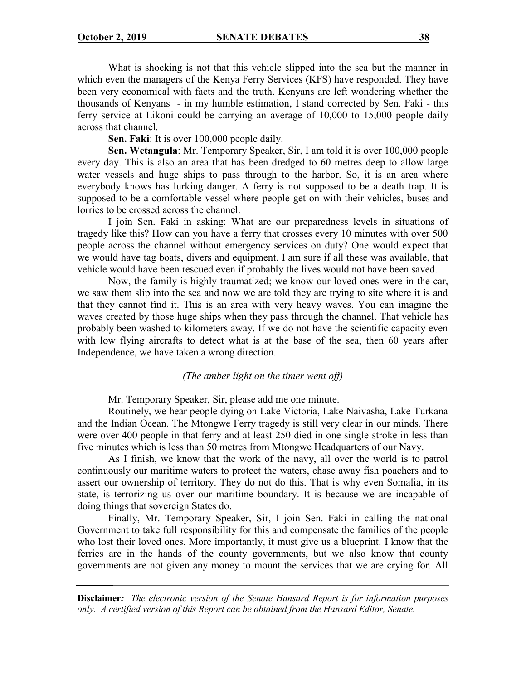What is shocking is not that this vehicle slipped into the sea but the manner in which even the managers of the Kenya Ferry Services (KFS) have responded. They have been very economical with facts and the truth. Kenyans are left wondering whether the thousands of Kenyans - in my humble estimation, I stand corrected by Sen. Faki - this ferry service at Likoni could be carrying an average of 10,000 to 15,000 people daily across that channel.

**Sen. Faki**: It is over 100,000 people daily.

**Sen. Wetangula**: Mr. Temporary Speaker, Sir, I am told it is over 100,000 people every day. This is also an area that has been dredged to 60 metres deep to allow large water vessels and huge ships to pass through to the harbor. So, it is an area where everybody knows has lurking danger. A ferry is not supposed to be a death trap. It is supposed to be a comfortable vessel where people get on with their vehicles, buses and lorries to be crossed across the channel.

I join Sen. Faki in asking: What are our preparedness levels in situations of tragedy like this? How can you have a ferry that crosses every 10 minutes with over 500 people across the channel without emergency services on duty? One would expect that we would have tag boats, divers and equipment. I am sure if all these was available, that vehicle would have been rescued even if probably the lives would not have been saved.

Now, the family is highly traumatized; we know our loved ones were in the car, we saw them slip into the sea and now we are told they are trying to site where it is and that they cannot find it. This is an area with very heavy waves. You can imagine the waves created by those huge ships when they pass through the channel. That vehicle has probably been washed to kilometers away. If we do not have the scientific capacity even with low flying aircrafts to detect what is at the base of the sea, then 60 years after Independence, we have taken a wrong direction.

#### *(The amber light on the timer went off)*

Mr. Temporary Speaker, Sir, please add me one minute.

Routinely, we hear people dying on Lake Victoria, Lake Naivasha, Lake Turkana and the Indian Ocean. The Mtongwe Ferry tragedy is still very clear in our minds. There were over 400 people in that ferry and at least 250 died in one single stroke in less than five minutes which is less than 50 metres from Mtongwe Headquarters of our Navy.

As I finish, we know that the work of the navy, all over the world is to patrol continuously our maritime waters to protect the waters, chase away fish poachers and to assert our ownership of territory. They do not do this. That is why even Somalia, in its state, is terrorizing us over our maritime boundary. It is because we are incapable of doing things that sovereign States do.

Finally, Mr. Temporary Speaker, Sir, I join Sen. Faki in calling the national Government to take full responsibility for this and compensate the families of the people who lost their loved ones. More importantly, it must give us a blueprint. I know that the ferries are in the hands of the county governments, but we also know that county governments are not given any money to mount the services that we are crying for. All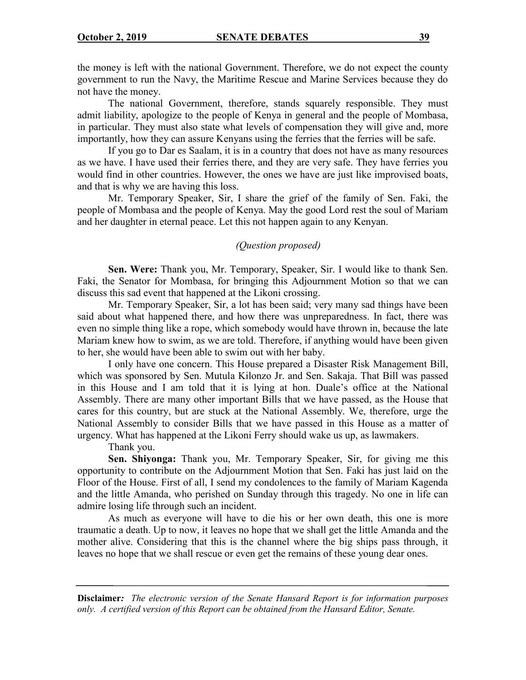the money is left with the national Government. Therefore, we do not expect the county government to run the Navy, the Maritime Rescue and Marine Services because they do not have the money.

The national Government, therefore, stands squarely responsible. They must admit liability, apologize to the people of Kenya in general and the people of Mombasa, in particular. They must also state what levels of compensation they will give and, more importantly, how they can assure Kenyans using the ferries that the ferries will be safe.

If you go to Dar es Saalam, it is in a country that does not have as many resources as we have. I have used their ferries there, and they are very safe. They have ferries you would find in other countries. However, the ones we have are just like improvised boats, and that is why we are having this loss.

Mr. Temporary Speaker, Sir, I share the grief of the family of Sen. Faki, the people of Mombasa and the people of Kenya. May the good Lord rest the soul of Mariam and her daughter in eternal peace. Let this not happen again to any Kenyan.

## *(Question proposed)*

**Sen. Were:** Thank you, Mr. Temporary, Speaker, Sir. I would like to thank Sen. Faki, the Senator for Mombasa, for bringing this Adjournment Motion so that we can discuss this sad event that happened at the Likoni crossing.

Mr. Temporary Speaker, Sir, a lot has been said; very many sad things have been said about what happened there, and how there was unpreparedness. In fact, there was even no simple thing like a rope, which somebody would have thrown in, because the late Mariam knew how to swim, as we are told. Therefore, if anything would have been given to her, she would have been able to swim out with her baby.

I only have one concern. This House prepared a Disaster Risk Management Bill, which was sponsored by Sen. Mutula Kilonzo Jr. and Sen. Sakaja. That Bill was passed in this House and I am told that it is lying at hon. Duale's office at the National Assembly. There are many other important Bills that we have passed, as the House that cares for this country, but are stuck at the National Assembly. We, therefore, urge the National Assembly to consider Bills that we have passed in this House as a matter of urgency. What has happened at the Likoni Ferry should wake us up, as lawmakers.

Thank you.

**Sen. Shiyonga:** Thank you, Mr. Temporary Speaker, Sir, for giving me this opportunity to contribute on the Adjournment Motion that Sen. Faki has just laid on the Floor of the House. First of all, I send my condolences to the family of Mariam Kagenda and the little Amanda, who perished on Sunday through this tragedy. No one in life can admire losing life through such an incident.

As much as everyone will have to die his or her own death, this one is more traumatic a death. Up to now, it leaves no hope that we shall get the little Amanda and the mother alive. Considering that this is the channel where the big ships pass through, it leaves no hope that we shall rescue or even get the remains of these young dear ones.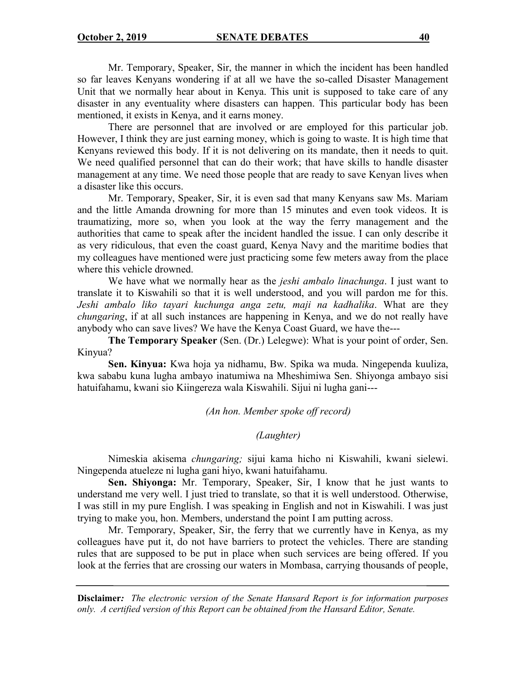Mr. Temporary, Speaker, Sir, the manner in which the incident has been handled so far leaves Kenyans wondering if at all we have the so-called Disaster Management Unit that we normally hear about in Kenya. This unit is supposed to take care of any disaster in any eventuality where disasters can happen. This particular body has been mentioned, it exists in Kenya, and it earns money.

There are personnel that are involved or are employed for this particular job. However, I think they are just earning money, which is going to waste. It is high time that Kenyans reviewed this body. If it is not delivering on its mandate, then it needs to quit. We need qualified personnel that can do their work; that have skills to handle disaster management at any time. We need those people that are ready to save Kenyan lives when a disaster like this occurs.

Mr. Temporary, Speaker, Sir, it is even sad that many Kenyans saw Ms. Mariam and the little Amanda drowning for more than 15 minutes and even took videos. It is traumatizing, more so, when you look at the way the ferry management and the authorities that came to speak after the incident handled the issue. I can only describe it as very ridiculous, that even the coast guard, Kenya Navy and the maritime bodies that my colleagues have mentioned were just practicing some few meters away from the place where this vehicle drowned.

We have what we normally hear as the *jeshi ambalo linachunga*. I just want to translate it to Kiswahili so that it is well understood, and you will pardon me for this. *Jeshi ambalo liko tayari kuchunga anga zetu, maji na kadhalika*. What are they *chungaring*, if at all such instances are happening in Kenya, and we do not really have anybody who can save lives? We have the Kenya Coast Guard, we have the---

**The Temporary Speaker** (Sen. (Dr.) Lelegwe): What is your point of order, Sen. Kinyua?

**Sen. Kinyua:** Kwa hoja ya nidhamu, Bw. Spika wa muda. Ningependa kuuliza, kwa sababu kuna lugha ambayo inatumiwa na Mheshimiwa Sen. Shiyonga ambayo sisi hatuifahamu, kwani sio Kiingereza wala Kiswahili. Sijui ni lugha gani---

*(An hon. Member spoke off record)*

## *(Laughter)*

Nimeskia akisema *chungaring;* sijui kama hicho ni Kiswahili, kwani sielewi. Ningependa atueleze ni lugha gani hiyo, kwani hatuifahamu.

**Sen. Shiyonga:** Mr. Temporary, Speaker, Sir, I know that he just wants to understand me very well. I just tried to translate, so that it is well understood. Otherwise, I was still in my pure English. I was speaking in English and not in Kiswahili. I was just trying to make you, hon. Members, understand the point I am putting across.

Mr. Temporary, Speaker, Sir, the ferry that we currently have in Kenya, as my colleagues have put it, do not have barriers to protect the vehicles. There are standing rules that are supposed to be put in place when such services are being offered. If you look at the ferries that are crossing our waters in Mombasa, carrying thousands of people,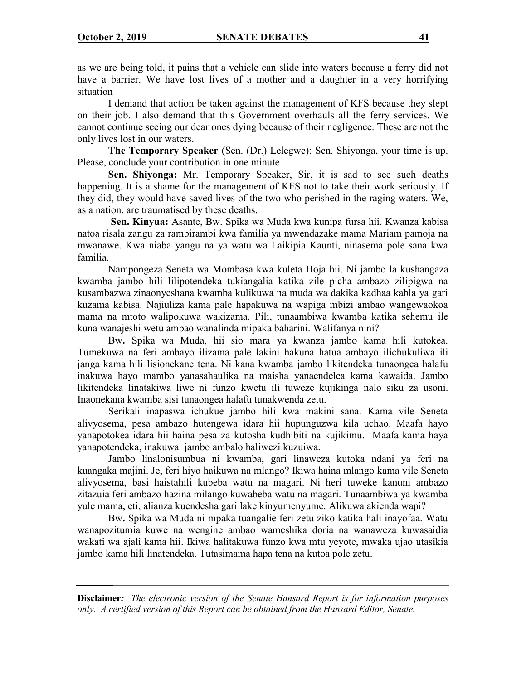as we are being told, it pains that a vehicle can slide into waters because a ferry did not have a barrier. We have lost lives of a mother and a daughter in a very horrifying situation

I demand that action be taken against the management of KFS because they slept on their job. I also demand that this Government overhauls all the ferry services. We cannot continue seeing our dear ones dying because of their negligence. These are not the only lives lost in our waters.

**The Temporary Speaker** (Sen. (Dr.) Lelegwe): Sen. Shiyonga, your time is up. Please, conclude your contribution in one minute.

**Sen. Shiyonga:** Mr. Temporary Speaker, Sir, it is sad to see such deaths happening. It is a shame for the management of KFS not to take their work seriously. If they did, they would have saved lives of the two who perished in the raging waters. We, as a nation, are traumatised by these deaths.

**Sen. Kinyua:** Asante, Bw. Spika wa Muda kwa kunipa fursa hii. Kwanza kabisa natoa risala zangu za rambirambi kwa familia ya mwendazake mama Mariam pamoja na mwanawe. Kwa niaba yangu na ya watu wa Laikipia Kaunti, ninasema pole sana kwa familia.

Nampongeza Seneta wa Mombasa kwa kuleta Hoja hii. Ni jambo la kushangaza kwamba jambo hili lilipotendeka tukiangalia katika zile picha ambazo zilipigwa na kusambazwa zinaonyeshana kwamba kulikuwa na muda wa dakika kadhaa kabla ya gari kuzama kabisa. Najiuliza kama pale hapakuwa na wapiga mbizi ambao wangewaokoa mama na mtoto walipokuwa wakizama. Pili, tunaambiwa kwamba katika sehemu ile kuna wanajeshi wetu ambao wanalinda mipaka baharini. Walifanya nini?

Bw**.** Spika wa Muda, hii sio mara ya kwanza jambo kama hili kutokea. Tumekuwa na feri ambayo ilizama pale lakini hakuna hatua ambayo ilichukuliwa ili janga kama hili lisionekane tena. Ni kana kwamba jambo likitendeka tunaongea halafu inakuwa hayo mambo yanasahaulika na maisha yanaendelea kama kawaida. Jambo likitendeka linatakiwa liwe ni funzo kwetu ili tuweze kujikinga nalo siku za usoni. Inaonekana kwamba sisi tunaongea halafu tunakwenda zetu.

Serikali inapaswa ichukue jambo hili kwa makini sana. Kama vile Seneta alivyosema, pesa ambazo hutengewa idara hii hupunguzwa kila uchao. Maafa hayo yanapotokea idara hii haina pesa za kutosha kudhibiti na kujikimu. Maafa kama haya yanapotendeka, inakuwa jambo ambalo haliwezi kuzuiwa.

Jambo linalonisumbua ni kwamba, gari linaweza kutoka ndani ya feri na kuangaka majini. Je, feri hiyo haikuwa na mlango? Ikiwa haina mlango kama vile Seneta alivyosema, basi haistahili kubeba watu na magari. Ni heri tuweke kanuni ambazo zitazuia feri ambazo hazina milango kuwabeba watu na magari. Tunaambiwa ya kwamba yule mama, eti, alianza kuendesha gari lake kinyumenyume. Alikuwa akienda wapi?

Bw**.** Spika wa Muda ni mpaka tuangalie feri zetu ziko katika hali inayofaa. Watu wanapozitumia kuwe na wengine ambao wameshika doria na wanaweza kuwasaidia wakati wa ajali kama hii. Ikiwa halitakuwa funzo kwa mtu yeyote, mwaka ujao utasikia jambo kama hili linatendeka. Tutasimama hapa tena na kutoa pole zetu.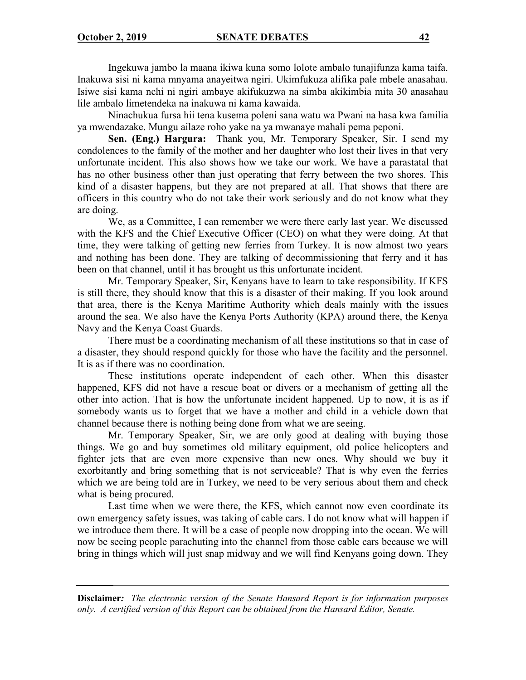Ingekuwa jambo la maana ikiwa kuna somo lolote ambalo tunajifunza kama taifa. Inakuwa sisi ni kama mnyama anayeitwa ngiri. Ukimfukuza alifika pale mbele anasahau. Isiwe sisi kama nchi ni ngiri ambaye akifukuzwa na simba akikimbia mita 30 anasahau lile ambalo limetendeka na inakuwa ni kama kawaida.

Ninachukua fursa hii tena kusema poleni sana watu wa Pwani na hasa kwa familia ya mwendazake. Mungu ailaze roho yake na ya mwanaye mahali pema peponi.

**Sen. (Eng.) Hargura:** Thank you, Mr. Temporary Speaker, Sir. I send my condolences to the family of the mother and her daughter who lost their lives in that very unfortunate incident. This also shows how we take our work. We have a parastatal that has no other business other than just operating that ferry between the two shores. This kind of a disaster happens, but they are not prepared at all. That shows that there are officers in this country who do not take their work seriously and do not know what they are doing.

We, as a Committee, I can remember we were there early last year. We discussed with the KFS and the Chief Executive Officer (CEO) on what they were doing. At that time, they were talking of getting new ferries from Turkey. It is now almost two years and nothing has been done. They are talking of decommissioning that ferry and it has been on that channel, until it has brought us this unfortunate incident.

Mr. Temporary Speaker, Sir, Kenyans have to learn to take responsibility. If KFS is still there, they should know that this is a disaster of their making. If you look around that area, there is the Kenya Maritime Authority which deals mainly with the issues around the sea. We also have the Kenya Ports Authority (KPA) around there, the Kenya Navy and the Kenya Coast Guards.

There must be a coordinating mechanism of all these institutions so that in case of a disaster, they should respond quickly for those who have the facility and the personnel. It is as if there was no coordination.

These institutions operate independent of each other. When this disaster happened, KFS did not have a rescue boat or divers or a mechanism of getting all the other into action. That is how the unfortunate incident happened. Up to now, it is as if somebody wants us to forget that we have a mother and child in a vehicle down that channel because there is nothing being done from what we are seeing.

Mr. Temporary Speaker, Sir, we are only good at dealing with buying those things. We go and buy sometimes old military equipment, old police helicopters and fighter jets that are even more expensive than new ones. Why should we buy it exorbitantly and bring something that is not serviceable? That is why even the ferries which we are being told are in Turkey, we need to be very serious about them and check what is being procured.

Last time when we were there, the KFS, which cannot now even coordinate its own emergency safety issues, was taking of cable cars. I do not know what will happen if we introduce them there. It will be a case of people now dropping into the ocean. We will now be seeing people parachuting into the channel from those cable cars because we will bring in things which will just snap midway and we will find Kenyans going down. They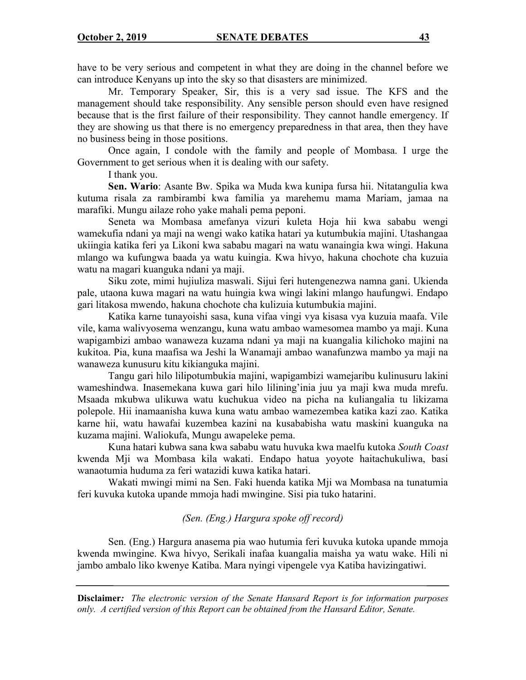have to be very serious and competent in what they are doing in the channel before we can introduce Kenyans up into the sky so that disasters are minimized.

Mr. Temporary Speaker, Sir, this is a very sad issue. The KFS and the management should take responsibility. Any sensible person should even have resigned because that is the first failure of their responsibility. They cannot handle emergency. If they are showing us that there is no emergency preparedness in that area, then they have no business being in those positions.

Once again, I condole with the family and people of Mombasa. I urge the Government to get serious when it is dealing with our safety.

I thank you.

**Sen. Wario**: Asante Bw. Spika wa Muda kwa kunipa fursa hii. Nitatangulia kwa kutuma risala za rambirambi kwa familia ya marehemu mama Mariam, jamaa na marafiki. Mungu ailaze roho yake mahali pema peponi.

Seneta wa Mombasa amefanya vizuri kuleta Hoja hii kwa sababu wengi wamekufia ndani ya maji na wengi wako katika hatari ya kutumbukia majini. Utashangaa ukiingia katika feri ya Likoni kwa sababu magari na watu wanaingia kwa wingi. Hakuna mlango wa kufungwa baada ya watu kuingia. Kwa hivyo, hakuna chochote cha kuzuia watu na magari kuanguka ndani ya maji.

Siku zote, mimi hujiuliza maswali. Sijui feri hutengenezwa namna gani. Ukienda pale, utaona kuwa magari na watu huingia kwa wingi lakini mlango haufungwi. Endapo gari litakosa mwendo, hakuna chochote cha kulizuia kutumbukia majini.

Katika karne tunayoishi sasa, kuna vifaa vingi vya kisasa vya kuzuia maafa. Vile vile, kama walivyosema wenzangu, kuna watu ambao wamesomea mambo ya maji. Kuna wapigambizi ambao wanaweza kuzama ndani ya maji na kuangalia kilichoko majini na kukitoa. Pia, kuna maafisa wa Jeshi la Wanamaji ambao wanafunzwa mambo ya maji na wanaweza kunusuru kitu kikianguka majini.

Tangu gari hilo lilipotumbukia majini, wapigambizi wamejaribu kulinusuru lakini wameshindwa. Inasemekana kuwa gari hilo lilining'inia juu ya maji kwa muda mrefu. Msaada mkubwa ulikuwa watu kuchukua video na picha na kuliangalia tu likizama polepole. Hii inamaanisha kuwa kuna watu ambao wamezembea katika kazi zao. Katika karne hii, watu hawafai kuzembea kazini na kusababisha watu maskini kuanguka na kuzama majini. Waliokufa, Mungu awapeleke pema.

Kuna hatari kubwa sana kwa sababu watu huvuka kwa maelfu kutoka *South Coast* kwenda Mji wa Mombasa kila wakati. Endapo hatua yoyote haitachukuliwa, basi wanaotumia huduma za feri watazidi kuwa katika hatari.

Wakati mwingi mimi na Sen. Faki huenda katika Mji wa Mombasa na tunatumia feri kuvuka kutoka upande mmoja hadi mwingine. Sisi pia tuko hatarini.

## *(Sen. (Eng.) Hargura spoke off record)*

Sen. (Eng.) Hargura anasema pia wao hutumia feri kuvuka kutoka upande mmoja kwenda mwingine. Kwa hivyo, Serikali inafaa kuangalia maisha ya watu wake. Hili ni jambo ambalo liko kwenye Katiba. Mara nyingi vipengele vya Katiba havizingatiwi.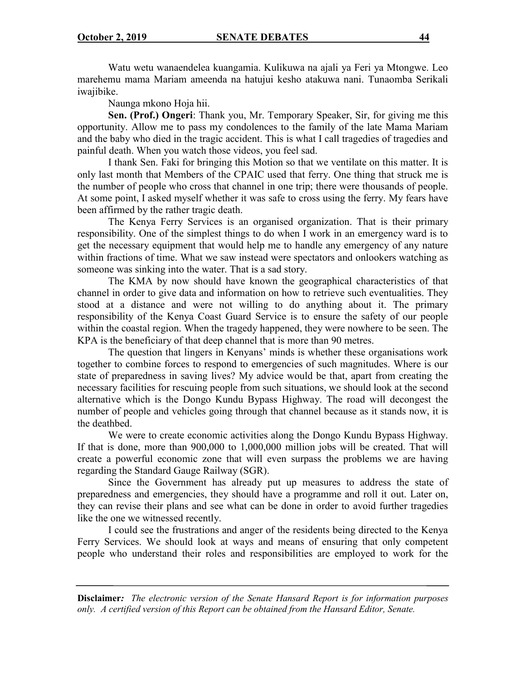Watu wetu wanaendelea kuangamia. Kulikuwa na ajali ya Feri ya Mtongwe. Leo marehemu mama Mariam ameenda na hatujui kesho atakuwa nani. Tunaomba Serikali iwajibike.

Naunga mkono Hoja hii.

**Sen. (Prof.) Ongeri**: Thank you, Mr. Temporary Speaker, Sir, for giving me this opportunity. Allow me to pass my condolences to the family of the late Mama Mariam and the baby who died in the tragic accident. This is what I call tragedies of tragedies and painful death. When you watch those videos, you feel sad.

I thank Sen. Faki for bringing this Motion so that we ventilate on this matter. It is only last month that Members of the CPAIC used that ferry. One thing that struck me is the number of people who cross that channel in one trip; there were thousands of people. At some point, I asked myself whether it was safe to cross using the ferry. My fears have been affirmed by the rather tragic death.

The Kenya Ferry Services is an organised organization. That is their primary responsibility. One of the simplest things to do when I work in an emergency ward is to get the necessary equipment that would help me to handle any emergency of any nature within fractions of time. What we saw instead were spectators and onlookers watching as someone was sinking into the water. That is a sad story.

The KMA by now should have known the geographical characteristics of that channel in order to give data and information on how to retrieve such eventualities. They stood at a distance and were not willing to do anything about it. The primary responsibility of the Kenya Coast Guard Service is to ensure the safety of our people within the coastal region. When the tragedy happened, they were nowhere to be seen. The KPA is the beneficiary of that deep channel that is more than 90 metres.

The question that lingers in Kenyans' minds is whether these organisations work together to combine forces to respond to emergencies of such magnitudes. Where is our state of preparedness in saving lives? My advice would be that, apart from creating the necessary facilities for rescuing people from such situations, we should look at the second alternative which is the Dongo Kundu Bypass Highway. The road will decongest the number of people and vehicles going through that channel because as it stands now, it is the deathbed.

We were to create economic activities along the Dongo Kundu Bypass Highway. If that is done, more than 900,000 to 1,000,000 million jobs will be created. That will create a powerful economic zone that will even surpass the problems we are having regarding the Standard Gauge Railway (SGR).

Since the Government has already put up measures to address the state of preparedness and emergencies, they should have a programme and roll it out. Later on, they can revise their plans and see what can be done in order to avoid further tragedies like the one we witnessed recently.

I could see the frustrations and anger of the residents being directed to the Kenya Ferry Services. We should look at ways and means of ensuring that only competent people who understand their roles and responsibilities are employed to work for the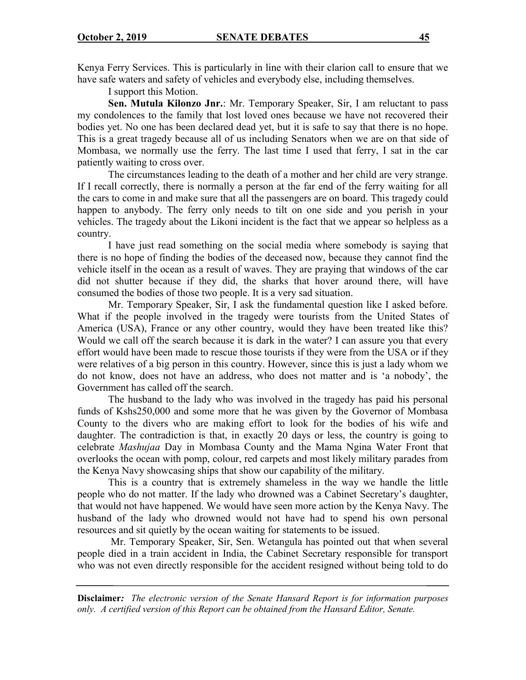Kenya Ferry Services. This is particularly in line with their clarion call to ensure that we have safe waters and safety of vehicles and everybody else, including themselves.

I support this Motion.

**Sen. Mutula Kilonzo Jnr.**: Mr. Temporary Speaker, Sir, I am reluctant to pass my condolences to the family that lost loved ones because we have not recovered their bodies yet. No one has been declared dead yet, but it is safe to say that there is no hope. This is a great tragedy because all of us including Senators when we are on that side of Mombasa, we normally use the ferry. The last time I used that ferry, I sat in the car patiently waiting to cross over.

The circumstances leading to the death of a mother and her child are very strange. If I recall correctly, there is normally a person at the far end of the ferry waiting for all the cars to come in and make sure that all the passengers are on board. This tragedy could happen to anybody. The ferry only needs to tilt on one side and you perish in your vehicles. The tragedy about the Likoni incident is the fact that we appear so helpless as a country.

I have just read something on the social media where somebody is saying that there is no hope of finding the bodies of the deceased now, because they cannot find the vehicle itself in the ocean as a result of waves. They are praying that windows of the car did not shutter because if they did, the sharks that hover around there, will have consumed the bodies of those two people. It is a very sad situation.

Mr. Temporary Speaker, Sir, I ask the fundamental question like I asked before. What if the people involved in the tragedy were tourists from the United States of America (USA), France or any other country, would they have been treated like this? Would we call off the search because it is dark in the water? I can assure you that every effort would have been made to rescue those tourists if they were from the USA or if they were relatives of a big person in this country. However, since this is just a lady whom we do not know, does not have an address, who does not matter and is 'a nobody', the Government has called off the search.

The husband to the lady who was involved in the tragedy has paid his personal funds of Kshs250,000 and some more that he was given by the Governor of Mombasa County to the divers who are making effort to look for the bodies of his wife and daughter. The contradiction is that, in exactly 20 days or less, the country is going to celebrate *Mashujaa* Day in Mombasa County and the Mama Ngina Water Front that overlooks the ocean with pomp, colour, red carpets and most likely military parades from the Kenya Navy showcasing ships that show our capability of the military.

This is a country that is extremely shameless in the way we handle the little people who do not matter. If the lady who drowned was a Cabinet Secretary's daughter, that would not have happened. We would have seen more action by the Kenya Navy. The husband of the lady who drowned would not have had to spend his own personal resources and sit quietly by the ocean waiting for statements to be issued.

Mr. Temporary Speaker, Sir, Sen. Wetangula has pointed out that when several people died in a train accident in India, the Cabinet Secretary responsible for transport who was not even directly responsible for the accident resigned without being told to do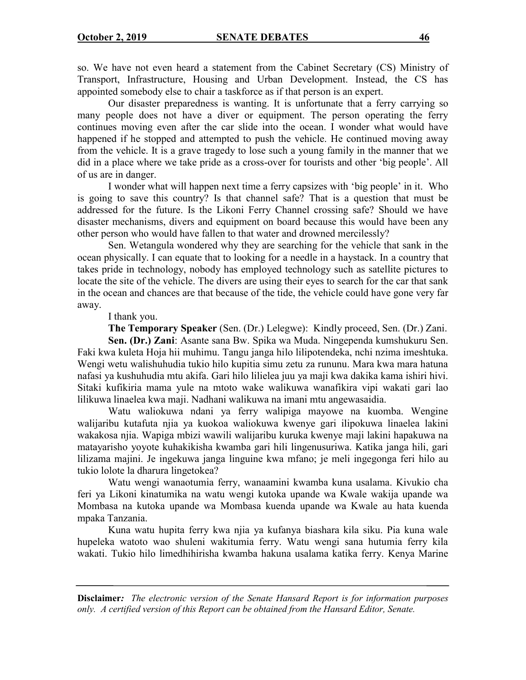so. We have not even heard a statement from the Cabinet Secretary (CS) Ministry of Transport, Infrastructure, Housing and Urban Development. Instead, the CS has appointed somebody else to chair a taskforce as if that person is an expert.

Our disaster preparedness is wanting. It is unfortunate that a ferry carrying so many people does not have a diver or equipment. The person operating the ferry continues moving even after the car slide into the ocean. I wonder what would have happened if he stopped and attempted to push the vehicle. He continued moving away from the vehicle. It is a grave tragedy to lose such a young family in the manner that we did in a place where we take pride as a cross-over for tourists and other 'big people'. All of us are in danger.

I wonder what will happen next time a ferry capsizes with 'big people' in it. Who is going to save this country? Is that channel safe? That is a question that must be addressed for the future. Is the Likoni Ferry Channel crossing safe? Should we have disaster mechanisms, divers and equipment on board because this would have been any other person who would have fallen to that water and drowned mercilessly?

Sen. Wetangula wondered why they are searching for the vehicle that sank in the ocean physically. I can equate that to looking for a needle in a haystack. In a country that takes pride in technology, nobody has employed technology such as satellite pictures to locate the site of the vehicle. The divers are using their eyes to search for the car that sank in the ocean and chances are that because of the tide, the vehicle could have gone very far away.

I thank you.

**The Temporary Speaker** (Sen. (Dr.) Lelegwe): Kindly proceed, Sen. (Dr.) Zani. **Sen. (Dr.) Zani**: Asante sana Bw. Spika wa Muda. Ningependa kumshukuru Sen. Faki kwa kuleta Hoja hii muhimu. Tangu janga hilo lilipotendeka, nchi nzima imeshtuka. Wengi wetu walishuhudia tukio hilo kupitia simu zetu za rununu. Mara kwa mara hatuna nafasi ya kushuhudia mtu akifa. Gari hilo lilielea juu ya maji kwa dakika kama ishiri hivi. Sitaki kufikiria mama yule na mtoto wake walikuwa wanafikira vipi wakati gari lao lilikuwa linaelea kwa maji. Nadhani walikuwa na imani mtu angewasaidia.

Watu waliokuwa ndani ya ferry walipiga mayowe na kuomba. Wengine walijaribu kutafuta njia ya kuokoa waliokuwa kwenye gari ilipokuwa linaelea lakini wakakosa njia. Wapiga mbizi wawili walijaribu kuruka kwenye maji lakini hapakuwa na matayarisho yoyote kuhakikisha kwamba gari hili lingenusuriwa. Katika janga hili, gari lilizama majini. Je ingekuwa janga linguine kwa mfano; je meli ingegonga feri hilo au tukio lolote la dharura lingetokea?

Watu wengi wanaotumia ferry, wanaamini kwamba kuna usalama. Kivukio cha feri ya Likoni kinatumika na watu wengi kutoka upande wa Kwale wakija upande wa Mombasa na kutoka upande wa Mombasa kuenda upande wa Kwale au hata kuenda mpaka Tanzania.

Kuna watu hupita ferry kwa njia ya kufanya biashara kila siku. Pia kuna wale hupeleka watoto wao shuleni wakitumia ferry. Watu wengi sana hutumia ferry kila wakati. Tukio hilo limedhihirisha kwamba hakuna usalama katika ferry. Kenya Marine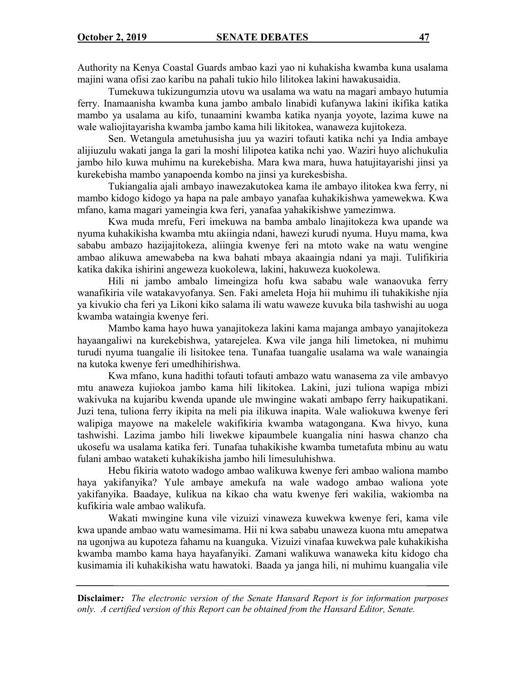Authority na Kenya Coastal Guards ambao kazi yao ni kuhakisha kwamba kuna usalama majini wana ofisi zao karibu na pahali tukio hilo lilitokea lakini hawakusaidia.

Tumekuwa tukizungumzia utovu wa usalama wa watu na magari ambayo hutumia ferry. Inamaanisha kwamba kuna jambo ambalo linabidi kufanywa lakini ikifika katika mambo ya usalama au kifo, tunaamini kwamba katika nyanja yoyote, lazima kuwe na wale waliojitayarisha kwamba jambo kama hili likitokea, wanaweza kujitokeza.

Sen. Wetangula ametuhusisha juu ya waziri tofauti katika nchi ya India ambaye alijiuzulu wakati janga la gari la moshi lilipotea katika nchi yao. Waziri huyo alichukulia jambo hilo kuwa muhimu na kurekebisha. Mara kwa mara, huwa hatujitayarishi jinsi ya kurekebisha mambo yanapoenda kombo na jinsi ya kurekesbisha.

Tukiangalia ajali ambayo inawezakutokea kama ile ambayo ilitokea kwa ferry, ni mambo kidogo kidogo ya hapa na pale ambayo yanafaa kuhakikishwa yamewekwa. Kwa mfano, kama magari yameingia kwa feri, yanafaa yahakikishwe yamezimwa.

Kwa muda mrefu, Feri imekuwa na bamba ambalo linajitokeza kwa upande wa nyuma kuhakikisha kwamba mtu akiingia ndani, hawezi kurudi nyuma. Huyu mama, kwa sababu ambazo hazijajitokeza, aliingia kwenye feri na mtoto wake na watu wengine ambao alikuwa amewabeba na kwa bahati mbaya akaaingia ndani ya maji. Tulifikiria katika dakika ishirini angeweza kuokolewa, lakini, hakuweza kuokolewa.

Hili ni jambo ambalo limeingiza hofu kwa sababu wale wanaovuka ferry wanafikiria vile watakavyofanya. Sen. Faki ameleta Hoja hii muhimu ili tuhakikishe njia ya kivukio cha feri ya Likoni kiko salama ili watu waweze kuvuka bila tashwishi au uoga kwamba wataingia kwenye feri.

Mambo kama hayo huwa yanajitokeza lakini kama majanga ambayo yanajitokeza hayaangaliwi na kurekebishwa, yatarejelea. Kwa vile janga hili limetokea, ni muhimu turudi nyuma tuangalie ili lisitokee tena. Tunafaa tuangalie usalama wa wale wanaingia na kutoka kwenye feri umedhihirishwa.

Kwa mfano, kuna hadithi tofauti tofauti ambazo watu wanasema za vile ambavyo mtu anaweza kujiokoa jambo kama hili likitokea. Lakini, juzi tuliona wapiga mbizi wakivuka na kujaribu kwenda upande ule mwingine wakati ambapo ferry haikupatikani. Juzi tena, tuliona ferry ikipita na meli pia ilikuwa inapita. Wale waliokuwa kwenye feri walipiga mayowe na makelele wakifikiria kwamba watagongana. Kwa hivyo, kuna tashwishi. Lazima jambo hili liwekwe kipaumbele kuangalia nini haswa chanzo cha ukosefu wa usalama katika feri. Tunafaa tuhakikishe kwamba tumetafuta mbinu au watu fulani ambao wataketi kuhakikisha jambo hili limesuluhishwa.

Hebu fikiria watoto wadogo ambao walikuwa kwenye feri ambao waliona mambo haya yakifanyika? Yule ambaye amekufa na wale wadogo ambao waliona yote yakifanyika. Baadaye, kulikua na kikao cha watu kwenye feri wakilia, wakiomba na kufikiria wale ambao walikufa.

Wakati mwingine kuna vile vizuizi vinaweza kuwekwa kwenye feri, kama vile kwa upande ambao watu wamesimama. Hii ni kwa sababu unaweza kuona mtu amepatwa na ugonjwa au kupoteza fahamu na kuanguka. Vizuizi vinafaa kuwekwa pale kuhakikisha kwamba mambo kama haya hayafanyiki. Zamani walikuwa wanaweka kitu kidogo cha kusimamia ili kuhakikisha watu hawatoki. Baada ya janga hili, ni muhimu kuangalia vile